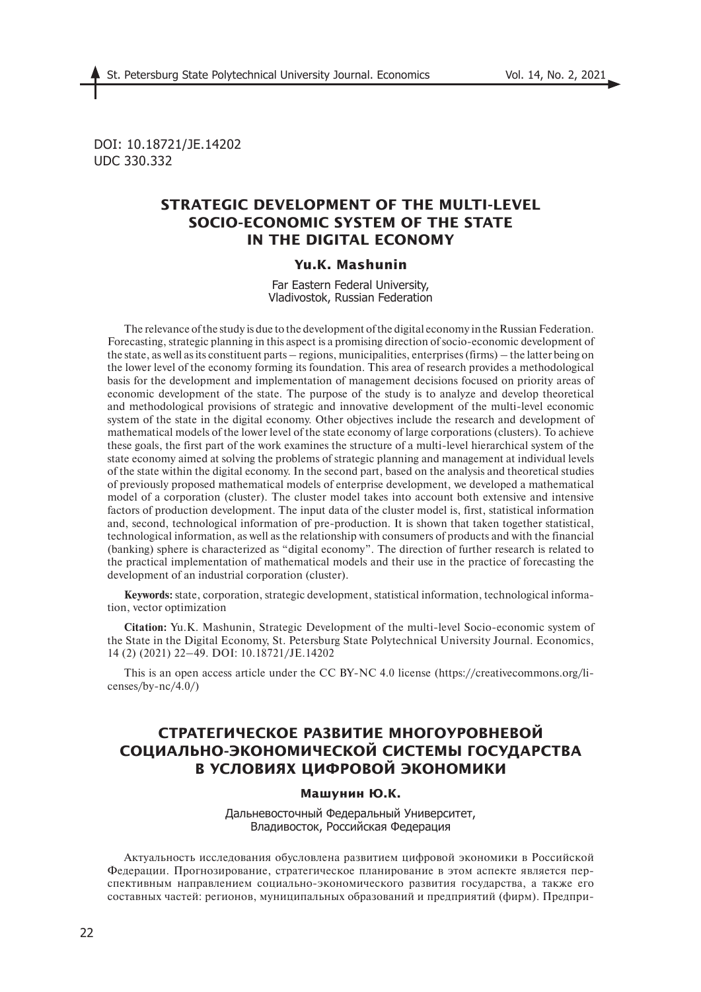DOI: 10.18721/JE.14202 UDC 330.332

# **STRATEGIC DEVELOPMENT OF THE MULTI-LEVEL SOCIO-ECONOMIC SYSTEM OF THE STATE IN THE DIGITAL ECONOMY**

# **Yu.K. Mashunin**

Far Eastern Federal University, Vladivostok, Russian Federation

The relevance of the study is due to the development of the digital economy in the Russian Federation. Forecasting, strategic planning in this aspect is a promising direction of socio-economic development of the state, as well as its constituent parts – regions, municipalities, enterprises (firms) – the latter being on the lower level of the economy forming its foundation. This area of research provides a methodological basis for the development and implementation of management decisions focused on priority areas of economic development of the state. The purpose of the study is to analyze and develop theoretical and methodological provisions of strategic and innovative development of the multi-level economic system of the state in the digital economy. Other objectives include the research and development of mathematical models of the lower level of the state economy of large corporations (clusters). To achieve these goals, the first part of the work examines the structure of a multi-level hierarchical system of the state economy aimed at solving the problems of strategic planning and management at individual levels of the state within the digital economy. In the second part, based on the analysis and theoretical studies of previously proposed mathematical models of enterprise development, we developed a mathematical model of a corporation (cluster). The cluster model takes into account both extensive and intensive factors of production development. The input data of the cluster model is, first, statistical information and, second, technological information of pre-production. It is shown that taken together statistical, technological information, as well as the relationship with consumers of products and with the financial (banking) sphere is characterized as "digital economy". The direction of further research is related to the practical implementation of mathematical models and their use in the practice of forecasting the development of an industrial corporation (cluster).

**Keywords:** state, corporation, strategic development, statistical information, technological information, vector optimization

**Citation:** Yu.K. Mashunin, Strategic Development of the multi-level Socio-economic system of the State in the Digital Economy, St. Petersburg State Polytechnical University Journal. Economics, 14 (2) (2021) 22–49. DOI: 10.18721/JE.14202

This is an open access article under the CC BY-NC 4.0 license (https://creativecommons.org/licenses/by- $nc/4.0/$ )

# **СТРАТЕГИЧЕСКОЕ РАЗВИТИЕ МНОГОУРОВНЕВОЙ СОЦИАЛЬНО-ЭКОНОМИЧЕСКОЙ СИСТЕМЫ ГОСУДАРСТВА В УСЛОВИЯХ ЦИФРОВОЙ ЭКОНОМИКИ**

## **Машунин Ю.К.**

Дальневосточный Федеральный Университет, Владивосток, Российская Федерация

Актуальность исследования обусловлена развитием цифровой экономики в Российской Федерации. Прогнозирование, стратегическое планирование в этом аспекте является перспективным направлением социально-экономического развития государства, а также его составных частей: регионов, муниципальных образований и предприятий (фирм). Предпри-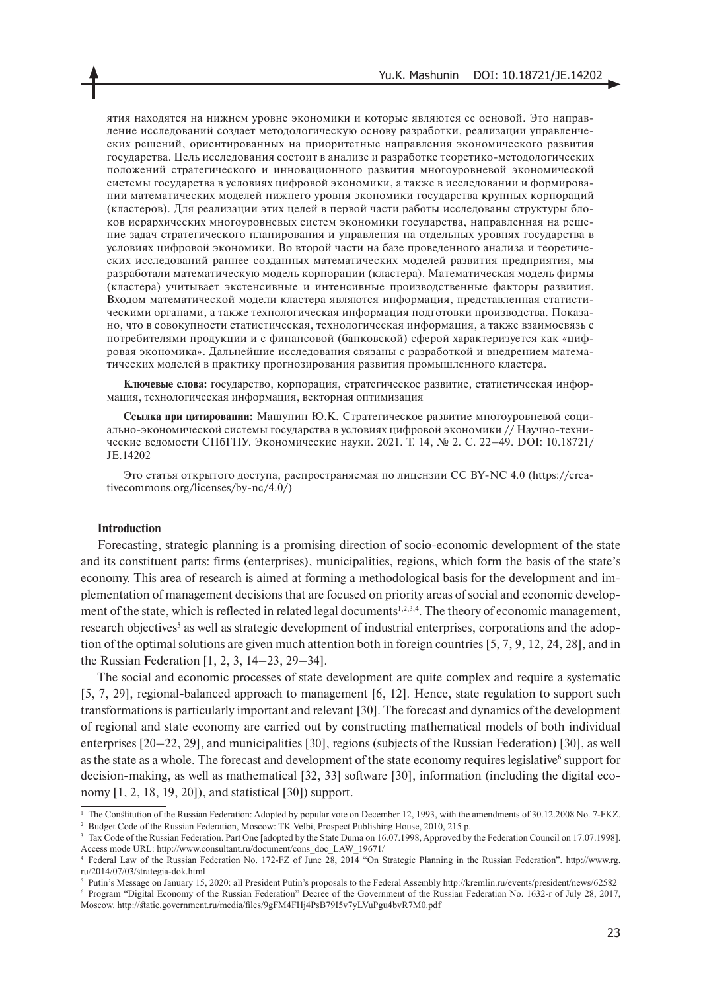ятия находятся на нижнем уровне экономики и которые являются ее основой. Это направление исследований создает методологическую основу разработки, реализации управленческих решений, ориентированных на приоритетные направления экономического развития государства. Цель исследования состоит в анализе и разработке теоретико-методологических положений стратегического и инновационного развития многоуровневой экономической системы государства в условиях цифровой экономики, а также в исследовании и формировании математических моделей нижнего уровня экономики государства крупных корпораций (кластеров). Для реализации этих целей в первой части работы исследованы структуры блоков иерархических многоуровневых систем экономики государства, направленная на решение задач стратегического планирования и управления на отдельных уровнях государства в условиях цифровой экономики. Во второй части на базе проведенного анализа и теоретических исследований раннее созданных математических моделей развития предприятия, мы разработали математическую модель корпорации (кластера). Математическая модель фирмы (кластера) учитывает экстенсивные и интенсивные производственные факторы развития. Входом математической модели кластера являются информация, представленная статистическими органами, а также технологическая информация подготовки производства. Показано, что в совокупности статистическая, технологическая информация, а также взаимосвязь с потребителями продукции и с финансовой (банковской) сферой характеризуется как «цифровая экономика». Дальнейшие исследования связаны с разработкой и внедрением математических моделей в практику прогнозирования развития промышленного кластера.

**Ключевые слова:** государство, корпорация, стратегическое развитие, статистическая информация, технологическая информация, векторная оптимизация

**Ссылка при цитировании:** Машунин Ю.К. Стратегическое развитие многоуровневой социально-экономической системы государства в условиях цифровой экономики // Научно-технические ведомости СПбГПУ. Экономические науки. 2021. Т. 14, № 2. С. 22–49. DOI: 10.18721/ JE.14202

Это статья открытого доступа, распространяемая по лицензии CC BY-NC 4.0 (https://creativecommons.org/licenses/by-nc/4.0/)

#### **Introduction**

Forecasting, strategic planning is a promising direction of socio-economic development of the state and its constituent parts: firms (enterprises), municipalities, regions, which form the basis of the state's economy. This area of research is aimed at forming a methodological basis for the development and implementation of management decisions that are focused on priority areas of social and economic development of the state, which is reflected in related legal documents<sup>1,2,3,4</sup>. The theory of economic management, research objectives<sup>5</sup> as well as strategic development of industrial enterprises, corporations and the adoption of the optimal solutions are given much attention both in foreign countries [5, 7, 9, 12, 24, 28], and in the Russian Federation [1, 2, 3, 14–23, 29–34].

The social and economic processes of state development are quite complex and require a systematic [5, 7, 29], regional-balanced approach to management [6, 12]. Hence, state regulation to support such transformations is particularly important and relevant [30]. The forecast and dynamics of the development of regional and state economy are carried out by constructing mathematical models of both individual enterprises [20–22, 29], and municipalities [30], regions (subjects of the Russian Federation) [30], as well as the state as a whole. The forecast and development of the state economy requires legislative<sup>6</sup> support for decision-making, as well as mathematical [32, 33] software [30], information (including the digital economy [1, 2, 18, 19, 20]), and statistical [30]) support.

<sup>&</sup>lt;sup>1</sup> The Constitution of the Russian Federation: Adopted by popular vote on December 12, 1993, with the amendments of 30.12.2008 No. 7-FKZ. <sup>2</sup> Budget Code of the Russian Federation, Moscow: TK Velbi, Prospect Publishing House, 2010, 215 p.

<sup>&</sup>lt;sup>3</sup> Tax Code of the Russian Federation. Part One [adopted by the State Duma on 16.07.1998, Approved by the Federation Council on 17.07.1998]. Access mode URL: http://www.consultant.ru/document/cons\_doc\_LAW\_19671/

<sup>4</sup> Federal Law of the Russian Federation No. 172-FZ of June 28, 2014 "On Strategic Planning in the Russian Federation". http://www.rg. ru/2014/07/03/strategia-dok.html

<sup>5</sup> Putin's Message on January 15, 2020: all President Putin's proposals to the Federal Assembly http://kremlin.ru/events/president/news/62582

<sup>6</sup> Program "Digital Economy of the Russian Federation" Decree of the Government of the Russian Federation No. 1632-r of July 28, 2017, Moscow. http://static.government.ru/media/files/9gFM4FHj4PsB79I5v7yLVuPgu4bvR7M0.pdf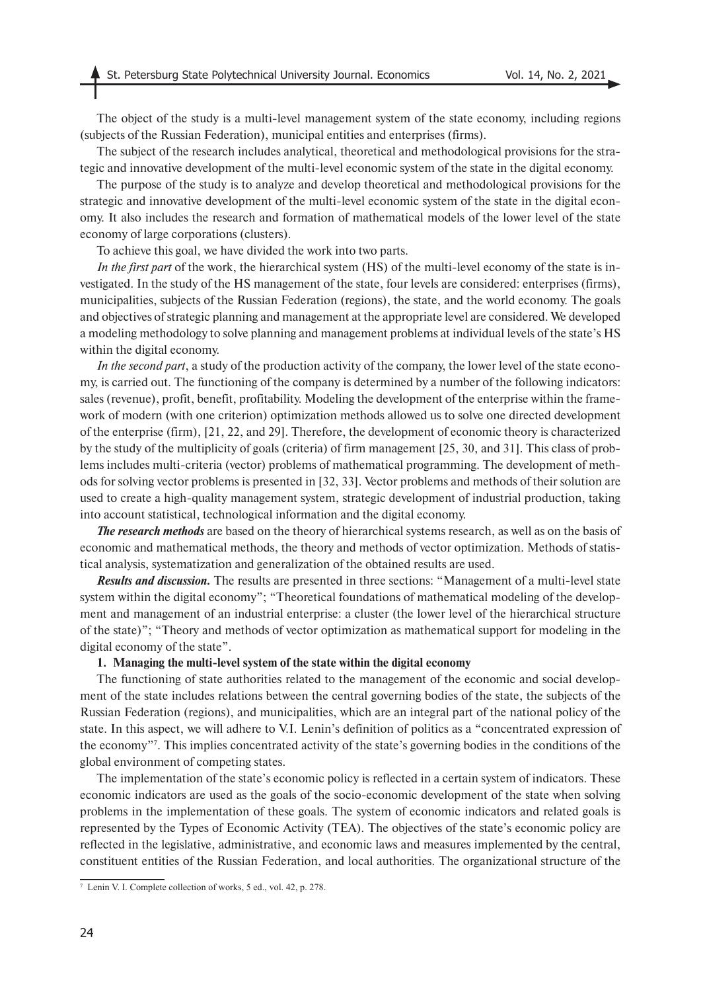The object of the study is a multi-level management system of the state economy, including regions (subjects of the Russian Federation), municipal entities and enterprises (firms).

The subject of the research includes analytical, theoretical and methodological provisions for the strategic and innovative development of the multi-level economic system of the state in the digital economy.

The purpose of the study is to analyze and develop theoretical and methodological provisions for the strategic and innovative development of the multi-level economic system of the state in the digital economy. It also includes the research and formation of mathematical models of the lower level of the state economy of large corporations (clusters).

To achieve this goal, we have divided the work into two parts.

*In the first part* of the work, the hierarchical system (HS) of the multi-level economy of the state is investigated. In the study of the HS management of the state, four levels are considered: enterprises (firms), municipalities, subjects of the Russian Federation (regions), the state, and the world economy. The goals and objectives of strategic planning and management at the appropriate level are considered. We developed a modeling methodology to solve planning and management problems at individual levels of the state's HS within the digital economy.

*In the second part*, a study of the production activity of the company, the lower level of the state economy, is carried out. The functioning of the company is determined by a number of the following indicators: sales (revenue), profit, benefit, profitability. Modeling the development of the enterprise within the framework of modern (with one criterion) optimization methods allowed us to solve one directed development of the enterprise (firm), [21, 22, and 29]. Therefore, the development of economic theory is characterized by the study of the multiplicity of goals (criteria) of firm management [25, 30, and 31]. This class of problems includes multi-criteria (vector) problems of mathematical programming. The development of methods for solving vector problems is presented in [32, 33]. Vector problems and methods of their solution are used to create a high-quality management system, strategic development of industrial production, taking into account statistical, technological information and the digital economy.

*The research methods* are based on the theory of hierarchical systems research, as well as on the basis of economic and mathematical methods, the theory and methods of vector optimization. Methods of statistical analysis, systematization and generalization of the obtained results are used.

*Results and discussion.* The results are presented in three sections: "Management of a multi-level state system within the digital economy"; "Theoretical foundations of mathematical modeling of the development and management of an industrial enterprise: a cluster (the lower level of the hierarchical structure of the state)"; "Theory and methods of vector optimization as mathematical support for modeling in the digital economy of the state".

### **1. Managing the multi-level system of the state within the digital economy**

The functioning of state authorities related to the management of the economic and social development of the state includes relations between the central governing bodies of the state, the subjects of the Russian Federation (regions), and municipalities, which are an integral part of the national policy of the state. In this aspect, we will adhere to V.I. Lenin's definition of politics as a "concentrated expression of the economy"7 . This implies concentrated activity of the state's governing bodies in the conditions of the global environment of competing states.

The implementation of the state's economic policy is reflected in a certain system of indicators. These economic indicators are used as the goals of the socio-economic development of the state when solving problems in the implementation of these goals. The system of economic indicators and related goals is represented by the Types of Economic Activity (TEA). The objectives of the state's economic policy are reflected in the legislative, administrative, and economic laws and measures implemented by the central, constituent entities of the Russian Federation, and local authorities. The organizational structure of the

<sup>7</sup> Lenin V. I. Complete collection of works, 5 ed., vol. 42, p. 278.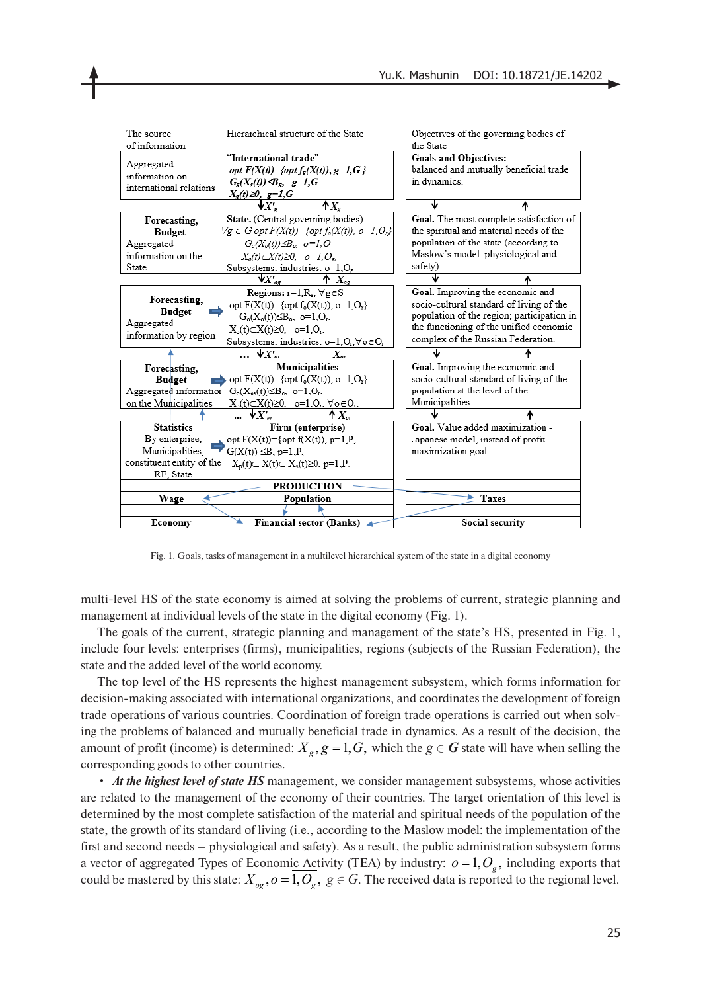

Fig. 1. Goals, tasks of management in a multilevel hierarchical system of the state in a digital economy

multi-level HS of the state economy is aimed at solving the problems of current, strategic planning and management at individual levels of the state in the digital economy (Fig. 1).

The goals of the current, strategic planning and management of the state's HS, presented in Fig. 1, include four levels: enterprises (firms), municipalities, regions (subjects of the Russian Federation), the state and the added level of the world economy.

The top level of the HS represents the highest management subsystem, which forms information for decision-making associated with international organizations, and coordinates the development of foreign trade operations of various countries. Coordination of foreign trade operations is carried out when solving the problems of balanced and mutually beneficial trade in dynamics. As a result of the decision, the amount of profit (income) is determined:  $X_g$ ,  $g = 1$ ,  $G$ , which the  $g \in G$  state will have when selling the corresponding goods to other countries.

• *At the highest level of state HS* management, we consider management subsystems, whose activities are related to the management of the economy of their countries. The target orientation of this level is determined by the most complete satisfaction of the material and spiritual needs of the population of the state, the growth of its standard of living (i.e., according to the Maslow model: the implementation of the first and second needs – physiological and safety). As a result, the public administration subsystem forms a vector of aggregated Types of Economic Activity (TEA) by industry:  $o = 1, O_g$ , including exports that could be mastered by this state:  $X_{og}$ ,  $o = 1, O_g$ ,  $g \in G$ . The received data is reported to the regional level.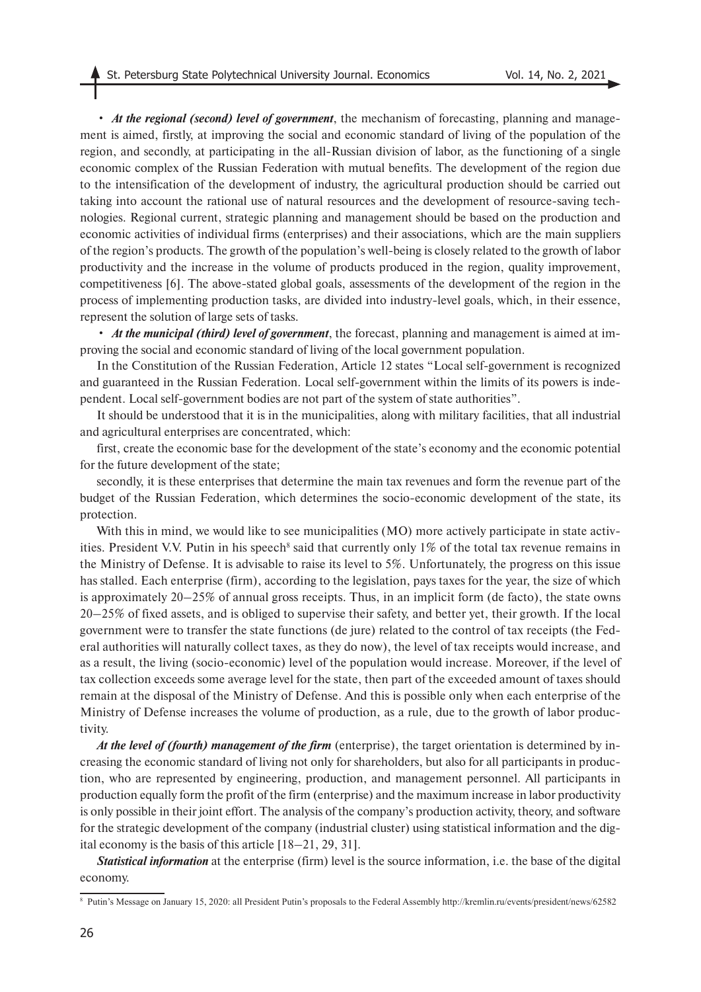• *At the regional (second) level of government*, the mechanism of forecasting, planning and management is aimed, firstly, at improving the social and economic standard of living of the population of the region, and secondly, at participating in the all-Russian division of labor, as the functioning of a single economic complex of the Russian Federation with mutual benefits. The development of the region due to the intensification of the development of industry, the agricultural production should be carried out taking into account the rational use of natural resources and the development of resource-saving technologies. Regional current, strategic planning and management should be based on the production and economic activities of individual firms (enterprises) and their associations, which are the main suppliers of the region's products. The growth of the population's well-being is closely related to the growth of labor productivity and the increase in the volume of products produced in the region, quality improvement, competitiveness [6]. The above-stated global goals, assessments of the development of the region in the process of implementing production tasks, are divided into industry-level goals, which, in their essence, represent the solution of large sets of tasks.

• *At the municipal (third) level of government*, the forecast, planning and management is aimed at improving the social and economic standard of living of the local government population.

In the Constitution of the Russian Federation, Article 12 states "Local self-government is recognized and guaranteed in the Russian Federation. Local self-government within the limits of its powers is independent. Local self-government bodies are not part of the system of state authorities".

It should be understood that it is in the municipalities, along with military facilities, that all industrial and agricultural enterprises are concentrated, which:

first, create the economic base for the development of the state's economy and the economic potential for the future development of the state;

secondly, it is these enterprises that determine the main tax revenues and form the revenue part of the budget of the Russian Federation, which determines the socio-economic development of the state, its protection.

With this in mind, we would like to see municipalities (MO) more actively participate in state activities. President V.V. Putin in his speech<sup>8</sup> said that currently only  $1\%$  of the total tax revenue remains in the Ministry of Defense. It is advisable to raise its level to 5%. Unfortunately, the progress on this issue has stalled. Each enterprise (firm), according to the legislation, pays taxes for the year, the size of which is approximately 20–25% of annual gross receipts. Thus, in an implicit form (de facto), the state owns 20–25% of fixed assets, and is obliged to supervise their safety, and better yet, their growth. If the local government were to transfer the state functions (de jure) related to the control of tax receipts (the Federal authorities will naturally collect taxes, as they do now), the level of tax receipts would increase, and as a result, the living (socio-economic) level of the population would increase. Moreover, if the level of tax collection exceeds some average level for the state, then part of the exceeded amount of taxes should remain at the disposal of the Ministry of Defense. And this is possible only when each enterprise of the Ministry of Defense increases the volume of production, as a rule, due to the growth of labor productivity.

*At the level of (fourth) management of the firm* (enterprise), the target orientation is determined by increasing the economic standard of living not only for shareholders, but also for all participants in production, who are represented by engineering, production, and management personnel. All participants in production equally form the profit of the firm (enterprise) and the maximum increase in labor productivity is only possible in their joint effort. The analysis of the company's production activity, theory, and software for the strategic development of the company (industrial cluster) using statistical information and the digital economy is the basis of this article [18–21, 29, 31].

*Statistical information* at the enterprise (firm) level is the source information, i.e. the base of the digital economy.

<sup>8</sup> Putin's Message on January 15, 2020: all President Putin's proposals to the Federal Assembly http://kremlin.ru/events/president/news/62582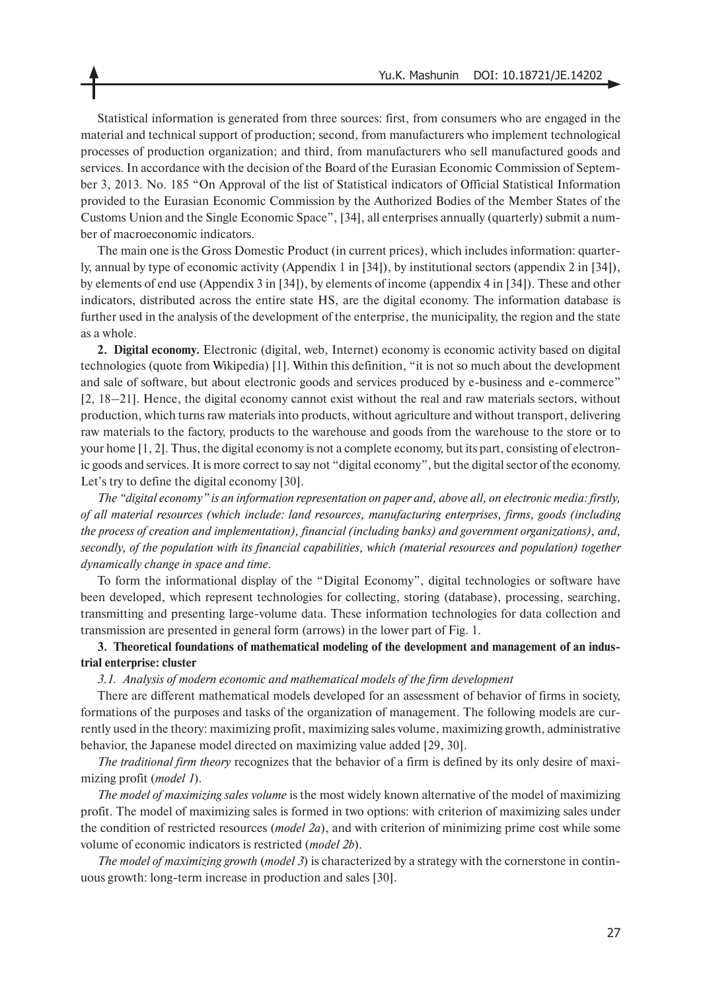Statistical information is generated from three sources: first, from consumers who are engaged in the material and technical support of production; second, from manufacturers who implement technological processes of production organization; and third, from manufacturers who sell manufactured goods and services. In accordance with the decision of the Board of the Eurasian Economic Commission of September 3, 2013. No. 185 "On Approval of the list of Statistical indicators of Official Statistical Information provided to the Eurasian Economic Commission by the Authorized Bodies of the Member States of the Customs Union and the Single Economic Space", [34], all enterprises annually (quarterly) submit a number of macroeconomic indicators.

The main one is the Gross Domestic Product (in current prices), which includes information: quarterly, annual by type of economic activity (Appendix 1 in [34]), by institutional sectors (appendix 2 in [34]), by elements of end use (Appendix 3 in [34]), by elements of income (appendix 4 in [34]). These and other indicators, distributed across the entire state HS, are the digital economy. The information database is further used in the analysis of the development of the enterprise, the municipality, the region and the state as a whole.

**2. Digital economy.** Electronic (digital, web, Internet) economy is economic activity based on digital technologies (quote from Wikipedia) [1]. Within this definition, "it is not so much about the development and sale of software, but about electronic goods and services produced by e-business and e-commerce" [2, 18–21]. Hence, the digital economy cannot exist without the real and raw materials sectors, without production, which turns raw materials into products, without agriculture and without transport, delivering raw materials to the factory, products to the warehouse and goods from the warehouse to the store or to your home [1, 2]. Thus, the digital economy is not a complete economy, but its part, consisting of electronic goods and services. It is more correct to say not "digital economy", but the digital sector of the economy. Let's try to define the digital economy [30].

*The "digital economy" is an information representation on paper and, above all, on electronic media: firstly, of all material resources (which include: land resources, manufacturing enterprises, firms, goods (including the process of creation and implementation), financial (including banks) and government organizations), and, secondly, of the population with its financial capabilities, which (material resources and population) together dynamically change in space and time.*

To form the informational display of the "Digital Economy", digital technologies or software have been developed, which represent technologies for collecting, storing (database), processing, searching, transmitting and presenting large-volume data. These information technologies for data collection and transmission are presented in general form (arrows) in the lower part of Fig. 1.

## **3. Theoretical foundations of mathematical modeling of the development and management of an industrial enterprise: cluster**

## *3.1. Analysis of modern economic and mathematical models of the firm development*

There are different mathematical models developed for an assessment of behavior of firms in society, formations of the purposes and tasks of the organization of management. The following models are currently used in the theory: maximizing profit, maximizing sales volume, maximizing growth, administrative behavior, the Japanese model directed on maximizing value added [29, 30].

*The traditional firm theory* recognizes that the behavior of a firm is defined by its only desire of maximizing profit (*model 1*).

*The model of maximizing sales volume* is the most widely known alternative of the model of maximizing profit. The model of maximizing sales is formed in two options: with criterion of maximizing sales under the condition of restricted resources (*model 2a*), and with criterion of minimizing prime cost while some volume of economic indicators is restricted (*model 2b*).

*The model of maximizing growth* (*model 3*) is characterized by a strategy with the cornerstone in continuous growth: long-term increase in production and sales [30].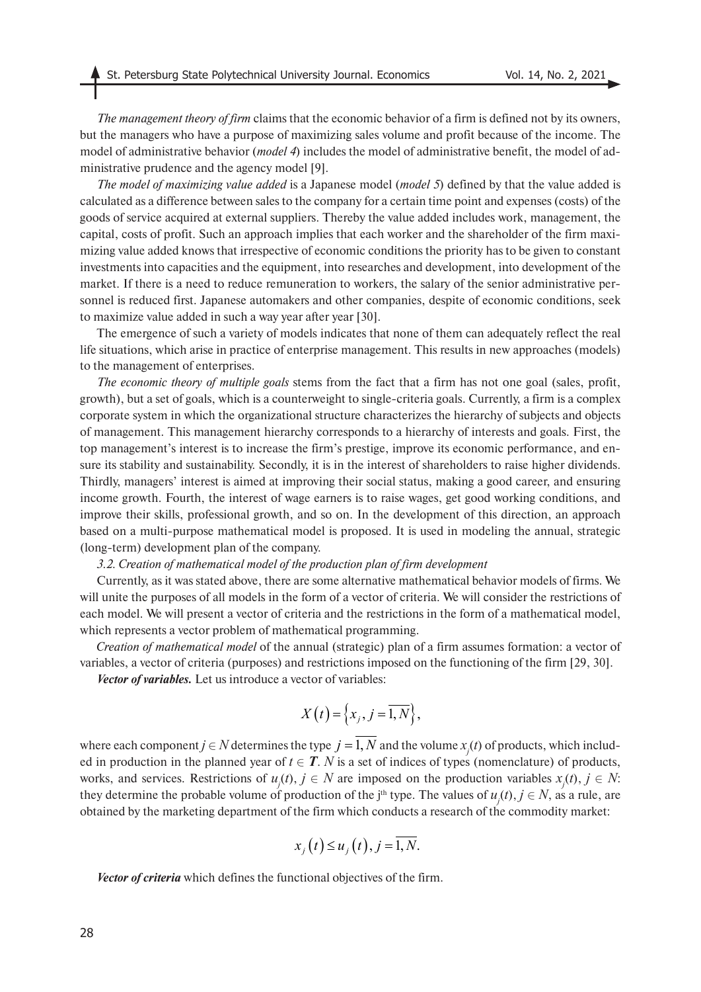*The management theory of firm* claims that the economic behavior of a firm is defined not by its owners, but the managers who have a purpose of maximizing sales volume and profit because of the income. The model of administrative behavior (*model 4*) includes the model of administrative benefit, the model of administrative prudence and the agency model [9].

*The model of maximizing value added* is a Japanese model (*model 5*) defined by that the value added is calculated as a difference between sales to the company for a certain time point and expenses (costs) of the goods of service acquired at external suppliers. Thereby the value added includes work, management, the capital, costs of profit. Such an approach implies that each worker and the shareholder of the firm maximizing value added knows that irrespective of economic conditions the priority has to be given to constant investments into capacities and the equipment, into researches and development, into development of the market. If there is a need to reduce remuneration to workers, the salary of the senior administrative personnel is reduced first. Japanese automakers and other companies, despite of economic conditions, seek to maximize value added in such a way year after year [30].

The emergence of such a variety of models indicates that none of them can adequately reflect the real life situations, which arise in practice of enterprise management. This results in new approaches (models) to the management of enterprises.

*The economic theory of multiple goals* stems from the fact that a firm has not one goal (sales, profit, growth), but a set of goals, which is a counterweight to single-criteria goals. Currently, a firm is a complex corporate system in which the organizational structure characterizes the hierarchy of subjects and objects of management. This management hierarchy corresponds to a hierarchy of interests and goals. First, the top management's interest is to increase the firm's prestige, improve its economic performance, and ensure its stability and sustainability. Secondly, it is in the interest of shareholders to raise higher dividends. Thirdly, managers' interest is aimed at improving their social status, making a good career, and ensuring income growth. Fourth, the interest of wage earners is to raise wages, get good working conditions, and improve their skills, professional growth, and so on. In the development of this direction, an approach based on a multi-purpose mathematical model is proposed. It is used in modeling the annual, strategic (long-term) development plan of the company.

#### *3.2. Creation of mathematical model of the production plan of firm development*

Currently, as it was stated above, there are some alternative mathematical behavior models of firms. We will unite the purposes of all models in the form of a vector of criteria. We will consider the restrictions of each model. We will present a vector of criteria and the restrictions in the form of a mathematical model, which represents a vector problem of mathematical programming.

*Creation of mathematical model* of the annual (strategic) plan of a firm assumes formation: a vector of variables, a vector of criteria (purposes) and restrictions imposed on the functioning of the firm [29, 30].

*Vector of variables.* Let us introduce a vector of variables:

$$
X(t) = \left\{ x_j, j = \overline{1, N} \right\},\,
$$

where each component  $j \in N$  determines the type  $j = 1, N$  and the volume  $x_j(t)$  of products, which included in production in the planned year of  $t \in T$ . *N* is a set of indices of types (nomenclature) of products, works, and services. Restrictions of  $u_j(t)$ ,  $j \in N$  are imposed on the production variables  $x_j(t)$ ,  $j \in N$ : they determine the probable volume of production of the j<sup>th</sup> type. The values of  $u_j(t)$ ,  $j \in N$ , as a rule, are obtained by the marketing department of the firm which conducts a research of the commodity market:

$$
x_j(t) \le u_j(t), j = \overline{1, N}.
$$

*Vector of criteria* which defines the functional objectives of the firm.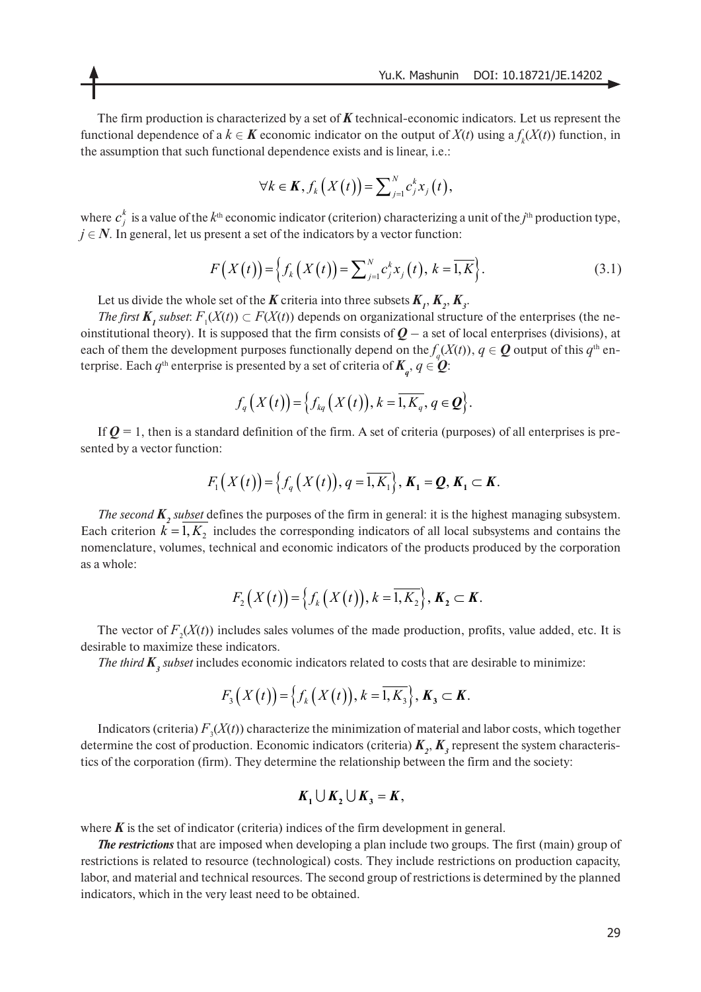The firm production is characterized by a set of  $K$  technical-economic indicators. Let us represent the functional dependence of a  $k \in K$  economic indicator on the output of  $X(t)$  using  $a f_k(X(t))$  function, in the assumption that such functional dependence exists and is linear, i.e.:

$$
\forall k \in \mathbf{K}, f_k(X(t)) = \sum_{j=1}^N c_j^k x_j(t),
$$

where  $c_j^k$  is a value of the  $k^{\text{th}}$  economic indicator (criterion) characterizing a unit of the *j*<sup>th</sup> production type,  $j \in N$ . In general, let us present a set of the indicators by a vector function:

$$
F(X(t)) = \left\{ f_k(X(t)) = \sum_{j=1}^{N} c_j^k x_j(t), k = \overline{1, K} \right\}.
$$
 (3.1)

Let us divide the whole set of the *K* criteria into three subsets  $K_{1}$ ,  $K_{2}$ ,  $K_{3}$ .

*The first*  $K_i$  *subset:*  $F_i(X(t)) \subset F(X(t))$  depends on organizational structure of the enterprises (the neoinstitutional theory). It is supposed that the firm consists of  $Q - a$  set of local enterprises (divisions), at each of them the development purposes functionally depend on the  $f_q(X(t)),\,q\in\bm{Q}$  output of this  $q^\text{th}$  enterprise. Each  $q^{\text{th}}$  enterprise is presented by a set of criteria of  $\pmb{K}_q, q \in \pmb{Q}$ :

$$
f_q(X(t)) = \left\{ f_{kq}(X(t)), k = \overline{1, K_q}, q \in \mathbf{Q} \right\}.
$$

If  $Q = 1$ , then is a standard definition of the firm. A set of criteria (purposes) of all enterprises is presented by a vector function:

$$
F_1(X(t)) = \left\{ f_q(X(t)), q = \overline{1, K_1} \right\}, K_1 = Q, K_1 \subset K.
$$

*The second*  $K_2$  *subset* defines the purposes of the firm in general: it is the highest managing subsystem. Each criterion  $k = 1, K_2$  includes the corresponding indicators of all local subsystems and contains the nomenclature, volumes, technical and economic indicators of the products produced by the corporation as a whole:

$$
F_2(X(t)) = \left\{ f_k(X(t)), k = \overline{1, K_2} \right\}, K_2 \subset K.
$$

The vector of  $F_2(X(t))$  includes sales volumes of the made production, profits, value added, etc. It is desirable to maximize these indicators.

*The third*  $K_3$  *subset* includes economic indicators related to costs that are desirable to minimize:

$$
F_{3}\big(X(t)\big)=\big\{f_{k}\big(X(t)\big),k=\overline{1,K_{3}}\big\},\,K_{3}\subset K.
$$

Indicators (criteria)  $F_3(X(t))$  characterize the minimization of material and labor costs, which together determine the cost of production. Economic indicators (criteria)  $K_{2}$ ,  $K_{3}$  represent the system characteristics of the corporation (firm). They determine the relationship between the firm and the society:

$$
K_1 \cup K_2 \cup K_3 = K,
$$

where  $\boldsymbol{K}$  is the set of indicator (criteria) indices of the firm development in general.

*The restrictions* that are imposed when developing a plan include two groups. The first (main) group of restrictions is related to resource (technological) costs. They include restrictions on production capacity, labor, and material and technical resources. The second group of restrictions is determined by the planned indicators, which in the very least need to be obtained.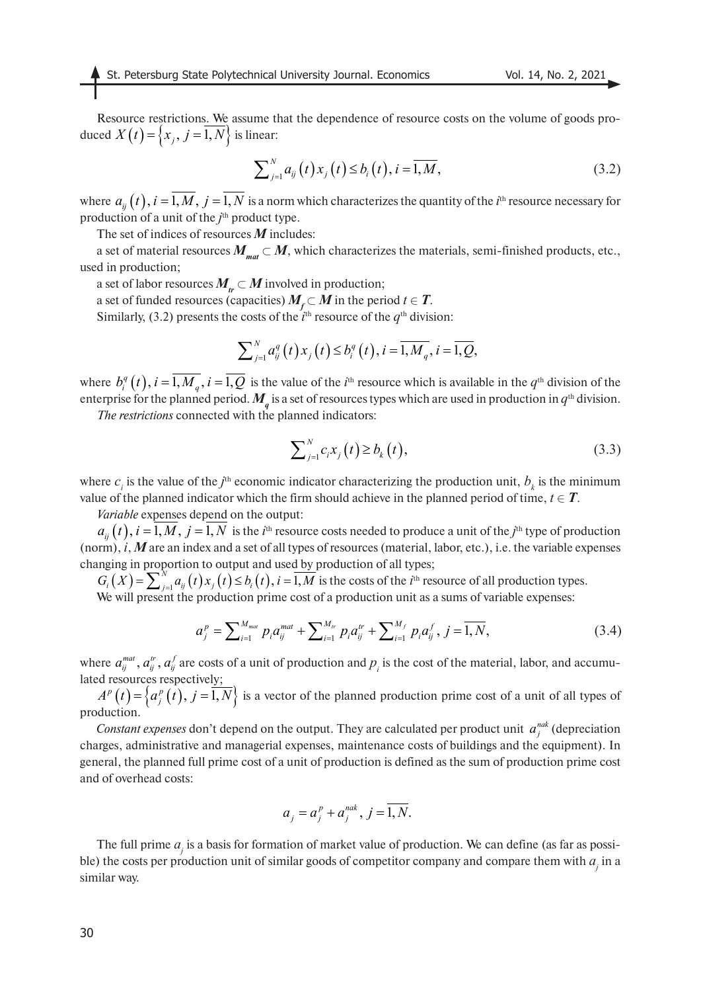Resource restrictions. We assume that the dependence of resource costs on the volume of goods produced  $X(t) = \{x_j, j = 1, N\}$  is linear:

$$
\sum_{j=1}^{N} a_{ij}(t) x_j(t) \le b_i(t), i = \overline{1, M},
$$
\n(3.2)

where  $a_{ij}(t)$ ,  $i = 1, M$ ,  $j = 1, N$  is a norm which characterizes the quantity of the  $i$ <sup>th</sup> resource necessary for production of a unit of the *j*<sup>th</sup> product type.

The set of indices of resources *M* includes:

a set of material resources  $M_{\text{max}} \subset M$ , which characterizes the materials, semi-finished products, etc., used in production;

a set of labor resources  $M_{tr} \subset M$  involved in production;

a set of funded resources (capacities)  $M_f \subset M$  in the period  $t \in T$ .

Similarly, (3.2) presents the costs of the  $i<sup>th</sup>$  resource of the  $q<sup>th</sup>$  division:

$$
\sum_{j=1}^{N} a_{ij}^{q}(t) x_{j}(t) \leq b_{i}^{q}(t), i = \overline{1, M_{q}}, i = \overline{1, Q},
$$

where  $b_i^q(t)$ ,  $i = 1, M_q$ ,  $i = 1, Q$  is the value of the *i*<sup>th</sup> resource which is available in the  $q$ <sup>th</sup> division of the enterprise for the planned period.  $M_q^{}$  is a set of resources types which are used in production in  $q^{\rm th}$  division.

*The restrictions* connected with the planned indicators:

$$
\sum_{j=1}^{N} c_i x_j(t) \ge b_k(t),
$$
\n(3.3)

where  $c_i$  is the value of the  $j^{\text{th}}$  economic indicator characterizing the production unit,  $b_k$  is the minimum value of the planned indicator which the firm should achieve in the planned period of time,  $t \in T$ .

*Variable* expenses depend on the output:

 $a_{ij}(t)$ ,  $i = 1, M$ ,  $j = 1, N$  is the *i*<sup>th</sup> resource costs needed to produce a unit of the *j*<sup>th</sup> type of production (norm), *i*, *М* are an index and a set of all types of resources (material, labor, etc.), i.e. the variable expenses changing in proportion to output and used by production of all types;

 $G_i(X) = \sum_{i=1}^{N} a_{ii}(t) x_i(t) \le b_i(t), i = 1, M$  is the costs of the *i*<sup>th</sup> resource of all production types.  $G_i(X) = \sum_{j=1}^{N} a_{ij}(t) x_j(t) \le b_i(t), i = \overline{1,M}$ 

We will present the production prime cost of a production unit as a sums of variable expenses:

$$
a_j^p = \sum_{i=1}^{M_{mat}} p_i a_{ij}^{mat} + \sum_{i=1}^{M_{tr}} p_i a_{ij}^{tr} + \sum_{i=1}^{M_f} p_i a_{ij}^{f}, j = \overline{1, N},
$$
(3.4)

where  $a_{ij}^{mat}$ ,  $a_{ij}^r$ ,  $a_{ij}^f$  are costs of a unit of production and  $p_i$  is the cost of the material, labor, and accumulated resources respectively;

 $A^p(t) = \{a_i^p(t), i = 1, N\}$  is a vector of the planned production prime cost of a unit of all types of production.  $A^{p}(t) = \left\{ a_{j}^{p}(t), j = 1, N \right\}$ 

*Constant expenses* don't depend on the output. They are calculated per product unit  $a_j^{nak}$  (depreciation charges, administrative and managerial expenses, maintenance costs of buildings and the equipment). In general, the planned full prime cost of a unit of production is defined as the sum of production prime cost and of overhead costs:

$$
a_j = a_j^p + a_j^{nak}, j = \overline{1, N}.
$$

The full prime  $a_j$  is a basis for formation of market value of production. We can define (as far as possible) the costs per production unit of similar goods of competitor company and compare them with  $a_j$  in a similar way.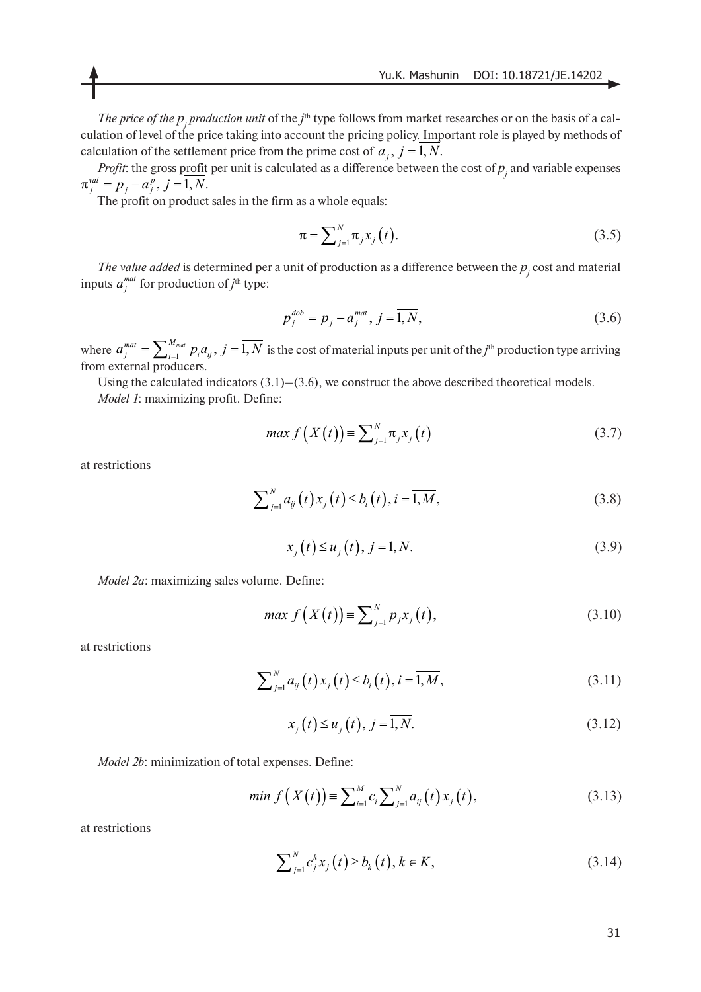*The price of the*  $p_j$  *production unit* of the  $j^{\text{th}}$  type follows from market researches or on the basis of a calculation of level of the price taking into account the pricing policy. Important role is played by methods of calculation of the settlement price from the prime cost of  $a_j$ ,  $j = 1, N$ .

*Profit*: the gross profit per unit is calculated as a difference between the cost of  $p_j$  and variable expenses  $\pi_j^{val} = p_j - a_j^p, j = 1, N.$ 

The profit on product sales in the firm as a whole equals:

$$
\pi = \sum_{j=1}^{N} \pi_j x_j(t).
$$
 (3.5)

*The value added* is determined per a unit of production as a difference between the  $p_j$  cost and material inputs  $a_j^{mat}$  for production of *j*<sup>th</sup> type:

$$
p_j^{dob} = p_j - a_j^{mat}, j = \overline{1, N},
$$
\n(3.6)

where  $a_j^{mat} = \sum_{i=1}^{N_{mat}} p_i a_{ij}$ ,  $j = 1, N$  is the cost of material inputs per unit of the *j*<sup>th</sup> production type arriving from external producers.  $a^{mat}_j = \sum\nolimits_{i = 1}^{{M_{mat}}} {{p_i}{a_{ij}}},\, j = \overline{1,N}$ 

Using the calculated indicators  $(3.1)$ – $(3.6)$ , we construct the above described theoretical models. *Model 1*: maximizing profit. Define:

$$
\max f\left(X(t)\right) = \sum_{j=1}^{N} \pi_j x_j\left(t\right) \tag{3.7}
$$

at restrictions

$$
\sum_{j=1}^{N} a_{ij}(t) x_j(t) \le b_i(t), i = \overline{1, M},
$$
\n(3.8)

$$
x_j(t) \le u_j(t), j = \overline{1, N}.
$$
\n(3.9)

*Model 2a*: maximizing sales volume. Define:

$$
\max f(X(t)) = \sum_{j=1}^{N} p_j x_j(t),
$$
\n(3.10)

at restrictions

$$
\sum_{j=1}^{N} a_{ij}(t) x_j(t) \le b_i(t), i = \overline{1, M},
$$
\n(3.11)

$$
x_j(t) \le u_j(t), j = \overline{1, N}.
$$
\n(3.12)

*Model 2b*: minimization of total expenses. Define:

$$
min f(X(t)) = \sum_{i=1}^{M} c_i \sum_{j=1}^{N} a_{ij}(t) x_j(t),
$$
\n(3.13)

at restrictions

$$
\sum_{j=1}^{N} c_j^k x_j(t) \ge b_k(t), k \in K,
$$
\n(3.14)

31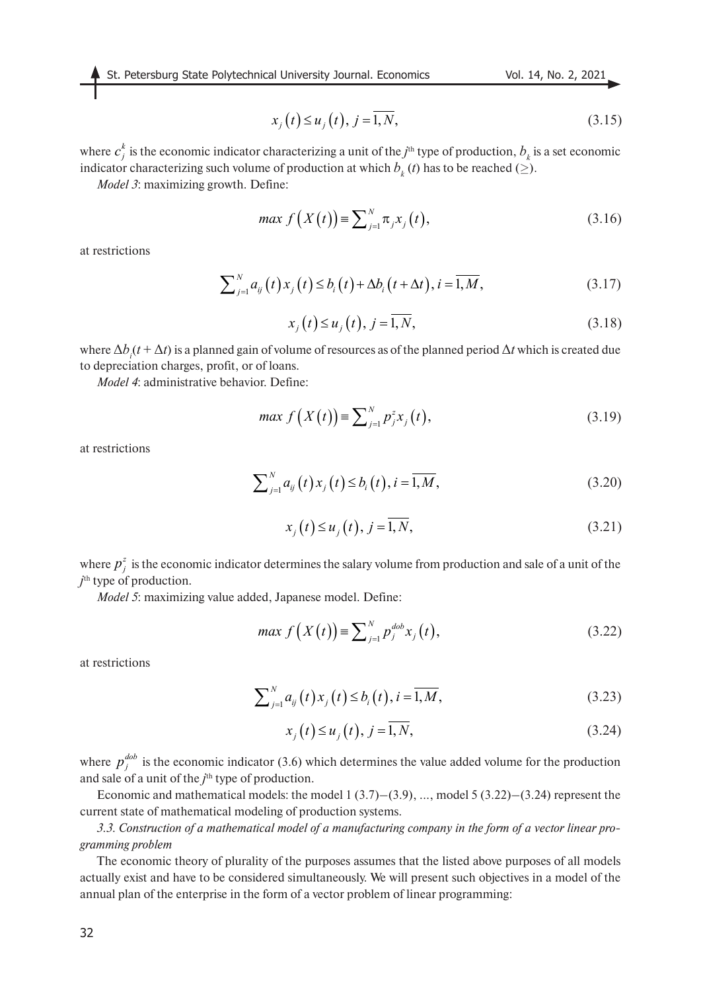St. Petersburg State Polytechnical University Journal. Economics Vol. 14, No. 2, 2021

$$
x_j(t) \le u_j(t), j = \overline{1, N},\tag{3.15}
$$

where  $c_j^k$  is the economic indicator characterizing a unit of the *j*<sup>th</sup> type of production,  $b_k$  is a set economic indicator characterizing such volume of production at which  $b_{k}(t)$  has to be reached ( $\geq$ ).

*Model 3*: maximizing growth. Define:

$$
\max f(X(t)) = \sum_{j=1}^{N} \pi_j x_j(t),
$$
\n(3.16)

at restrictions

$$
\sum_{j=1}^{N} a_{ij}(t) x_j(t) \le b_i(t) + \Delta b_i(t + \Delta t), i = \overline{1, M},
$$
\n(3.17)

$$
x_j(t) \le u_j(t), j = \overline{1, N},
$$
\n(3.18)

where  $\Delta b_i(t + \Delta t)$  is a planned gain of volume of resources as of the planned period  $\Delta t$  which is created due to depreciation charges, profit, or of loans.

*Model 4*: administrative behavior. Define:

$$
\max f(X(t)) = \sum_{j=1}^{N} p_j^z x_j(t),
$$
\n(3.19)

at restrictions

$$
\sum_{j=1}^{N} a_{ij}(t) x_j(t) \le b_i(t), i = \overline{1, M},
$$
\n(3.20)

$$
x_j(t) \le u_j(t), j = \overline{1, N},\tag{3.21}
$$

where  $p_j^z$  is the economic indicator determines the salary volume from production and sale of a unit of the *j* th type of production.

*Model 5*: maximizing value added, Japanese model. Define:

$$
\max f(X(t)) = \sum_{j=1}^{N} p_j^{dob} x_j(t), \tag{3.22}
$$

at restrictions

$$
\sum_{j=1}^{N} a_{ij}(t) x_j(t) \le b_i(t), i = \overline{1, M},
$$
\n(3.23)

$$
x_j(t) \le u_j(t), j = \overline{1, N},
$$
\n(3.24)

where  $p_j^{dob}$  is the economic indicator (3.6) which determines the value added volume for the production and sale of a unit of the *j*<sup>th</sup> type of production.

Economic and mathematical models: the model  $1(3.7)$ – $(3.9)$ , ..., model  $5(3.22)$ – $(3.24)$  represent the current state of mathematical modeling of production systems.

*3.3. Construction of a mathematical model of a manufacturing company in the form of a vector linear programming problem*

The economic theory of plurality of the purposes assumes that the listed above purposes of all models actually exist and have to be considered simultaneously. We will present such objectives in a model of the annual plan of the enterprise in the form of a vector problem of linear programming: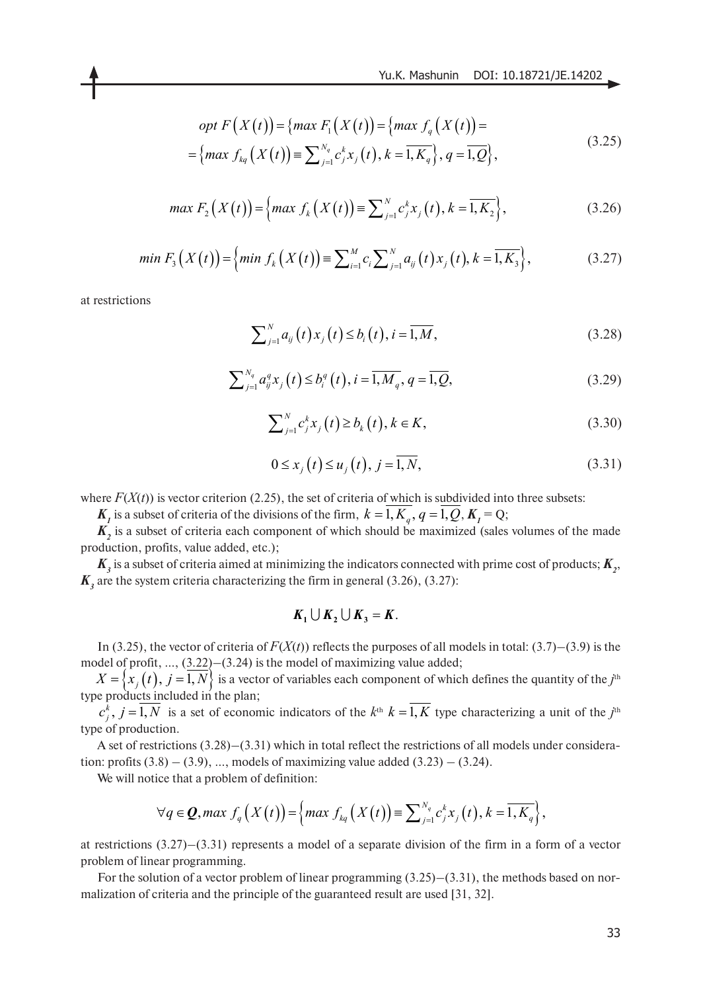$$
opt F\left(X(t)\right) = \{ \max F_1\left(X(t)\right) = \{ \max f_q\left(X(t)\right) = \}
$$
\n
$$
\left(\max \left(X(t)\right) = \overline{X_{12}^{N_{\text{max}}}}\left(X(t)\right) = \overline{X_{23}^{N_{\text{max}}}}\left(X(t)\right) = \overline{X_{13}^{N_{\text{max}}}}\left(X(t)\right) = \overline{X_{13}^{N_{\text{max}}}}\left(X(t)\right) = \overline{X_{13}^{N_{\text{max}}}}\left(X(t)\right) = \overline{X_{13}^{N_{\text{max}}}}\left(X(t)\right) = \overline{X_{13}^{N_{\text{max}}}}\left(X(t)\right) = \overline{X_{13}^{N_{\text{max}}}}\left(X(t)\right) = \overline{X_{13}^{N_{\text{max}}}}\left(X(t)\right) = \overline{X_{13}^{N_{\text{max}}}}\left(X(t)\right) = \overline{X_{13}^{N_{\text{max}}}}\left(X(t)\right) = \overline{X_{13}^{N_{\text{max}}}}\left(X(t)\right) = \overline{X_{13}^{N_{\text{max}}}}\left(X(t)\right) = \overline{X_{13}^{N_{\text{max}}}}\left(X(t)\right) = \overline{X_{13}^{N_{\text{max}}}}\left(X(t)\right) = \overline{X_{13}^{N_{\text{max}}}}\left(X(t)\right) = \overline{X_{13}^{N_{\text{max}}}}\left(X(t)\right) = \overline{X_{13}^{N_{\text{max}}}}\left(X(t)\right) = \overline{X_{13}^{N_{\text{max}}}}\left(X(t)\right) = \overline{X_{13}^{N_{\text{max}}}}\left(X(t)\right) = \overline{X_{13}^{N_{\text{max}}}}\left(X(t)\right) = \overline{X_{13}^{N_{\text{max}}}}\left(X(t)\right) = \overline{X_{13}^{N_{\text{max}}}}\left(X(t)\right) = \overline{X_{13}^{N_{\text{max}}}}\left(X(t)\right) = \overline{X_{13}^{N_{\text{max}}}}\left(X(t)\right) = \overline{X_{13}^{N_{\text{max}}}}\left(X(t)\right) = \overline{X_{13}^{N_{\text{max}}}}\left(X(t
$$

$$
= \{ \max f_{kq} (X(t)) \equiv \sum_{j=1}^{N_q} c_j^k x_j(t), k = \overline{1, K_q} \}, q = \overline{1, Q} \},
$$
\n(3.25)

$$
\max F_2(X(t)) = \left\{ \max f_k(X(t)) \equiv \sum_{j=1}^N c_j^k x_j(t), k = \overline{1, K_2} \right\},\tag{3.26}
$$

$$
min F_3(X(t)) = \left\{ min f_k(X(t)) \equiv \sum_{i=1}^{M} c_i \sum_{j=1}^{N} a_{ij}(t) x_j(t), k = \overline{1, K_3} \right\},
$$
\n(3.27)

at restrictions

$$
\sum_{j=1}^{N} a_{ij}(t) x_j(t) \le b_i(t), i = \overline{1, M},
$$
\n(3.28)

$$
\sum_{j=1}^{N_q} a_{ij}^q x_j(t) \le b_i^q(t), i = \overline{1, M_q}, q = \overline{1, Q},
$$
\n(3.29)

$$
\sum_{j=1}^{N} c_j^k x_j(t) \ge b_k(t), k \in K,
$$
\n(3.30)

$$
0 \le x_j(t) \le u_j(t), j = \overline{1, N},
$$
\n(3.31)

where  $F(X(t))$  is vector criterion (2.25), the set of criteria of which is subdivided into three subsets:

 $K_i$  is a subset of criteria of the divisions of the firm,  $k = 1, K_q$ ,  $q = 1, Q, K_j = Q$ ;

 $K_2$  is a subset of criteria each component of which should be maximized (sales volumes of the made production, profits, value added, etc.);

 $K_{3}$  is a subset of criteria aimed at minimizing the indicators connected with prime cost of products;  $K_{2}$ ,  $K<sub>3</sub>$  are the system criteria characterizing the firm in general (3.26), (3.27):

$$
K_1 \cup K_2 \cup K_3 = K.
$$

In (3.25), the vector of criteria of  $F(X(t))$  reflects the purposes of all models in total: (3.7)–(3.9) is the model of profit, …, (3.22)–(3.24) is the model of maximizing value added;

 $iX = \{x_j(t), j = 1, N\}$  is a vector of variables each component of which defines the quantity of the *j*<sup>th</sup> type products included in the plan;

 $c_j^k$ ,  $j = 1, N$  is a set of economic indicators of the  $k^{\text{th}}$   $k = 1, K$  type characterizing a unit of the  $j^{\text{th}}$ type of production.

A set of restrictions (3.28)–(3.31) which in total reflect the restrictions of all models under consideration: profits  $(3.8) - (3.9)$ , ..., models of maximizing value added  $(3.23) - (3.24)$ .

We will notice that a problem of definition:

$$
\forall q \in \mathbf{Q}, \max f_q(X(t)) = \left\{ \max f_{kq}(X(t)) \equiv \sum_{j=1}^{N_q} c_j^k x_j(t), k = \overline{1, K_q} \right\},\,
$$

at restrictions (3.27)–(3.31) represents a model of a separate division of the firm in a form of a vector problem of linear programming.

For the solution of a vector problem of linear programming  $(3.25)$ – $(3.31)$ , the methods based on normalization of criteria and the principle of the guaranteed result are used [31, 32].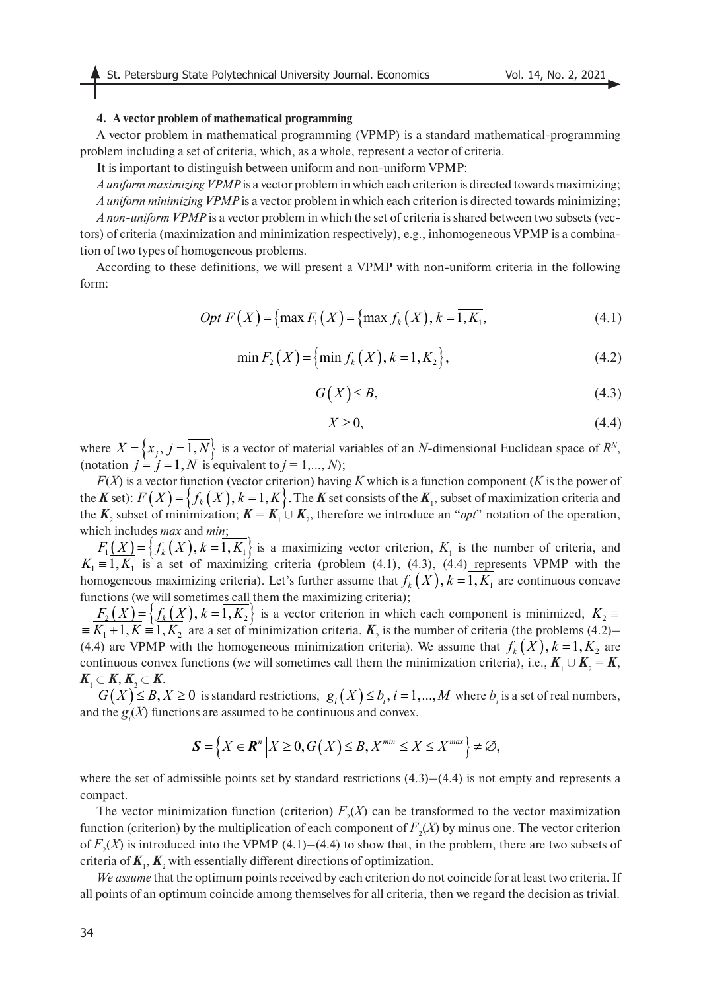#### **4. A vector problem of mathematical programming**

A vector problem in mathematical programming (VPMP) is a standard mathematical-programming problem including a set of criteria, which, as a whole, represent a vector of criteria.

It is important to distinguish between uniform and non-uniform VPMP:

*A uniform maximizing VPMP* is a vector problem in which each criterion is directed towards maximizing; *A uniform minimizing VPMP* is a vector problem in which each criterion is directed towards minimizing; *A non-uniform VPMP* is a vector problem in which the set of criteria is shared between two subsets (vectors) of criteria (maximization and minimization respectively), e.g., inhomogeneous VPMP is a combination of two types of homogeneous problems.

According to these definitions, we will present a VPMP with non-uniform criteria in the following form:

$$
Opt F(X) = \{ \max F_1(X) = \{ \max f_k(X), k = 1, K_1, \}
$$
 (4.1)

$$
\min F_2(X) = \{ \min f_k(X), k = \overline{1, K_2} \},\tag{4.2}
$$

$$
G(X) \leq B,\tag{4.3}
$$

$$
X \ge 0,\tag{4.4}
$$

where  $X = \{x_i, j = 1, N\}$  is a vector of material variables of an *N*-dimensional Euclidean space of  $R^N$ , (notation  $j = j = 1, N$  is equivalent to  $j = 1, ..., N$ );  $X = \{x_j, j = 1, N\}$  $j = j = 1, N$ 

*F*(*X*) is a vector function (vector criterion) having *K* which is a function component (*K* is the power of the *K* set):  $F(X) = \{f_k(X), k = 1, K\}$ . The *K* set consists of the  $K_1$ , subset of maximization criteria and the  $K_2$  subset of minimization;  $K = K_1 \cup K_2$ , therefore we introduce an "*opt*" notation of the operation, which includes *max* and *min*;  $F(X) = \{f_k(X), k = 1, K\}.$ 

 $F_1(X) = \{f_k(X), k = 1, K_1\}$  is a maximizing vector criterion,  $K_1$  is the number of criteria, and  $K_1 = 1, K_1$  is a set of maximizing criteria (problem (4.1), (4.3), (4.4) represents VPMP with the homogeneous maximizing criteria). Let's further assume that  $f_k(X)$ ,  $k = 1, K_1$  are continuous concave functions (we will sometimes call them the maximizing criteria);  $F_1(X) = \{ f_k(X), k = 1, K_1 \}$  $K_1 = 1, K_1$ 

 $F_{2}(X) = \{f_{k}(X), k=1, K_{2}\}\$ is a vector criterion in which each component is minimized,  $\equiv K_1 + 1, K \equiv 1, K_2$  are a set of minimization criteria,  $K_2$  is the number of criteria (the problems (4.2)– (4.4) are VPMP with the homogeneous minimization criteria). We assume that  $f_k(X)$ ,  $k = 1, K_2$  are continuous convex functions (we will sometimes call them the minimization criteria), i.e.,  $K_1 \cup K_2 = K$ ,  $K_1 \subset K, K_2 \subset K$ .  $F_2(X) = \{ f_k(X), k = 1, K_2 \}$  is a vector criterion in which each component is minimized,  $K_2 =$  $\equiv K_1 + 1, K = 1, K_2$ 

 $G(X) \leq B, X \geq 0$  is standard restrictions,  $g_i(X) \leq b_i, i = 1,...,M$  where  $b_i$  is a set of real numbers, and the  $g_i(X)$  functions are assumed to be continuous and convex.

$$
\mathbf{S} = \left\{ X \in \mathbf{R}^n \middle| X \geq 0, G(X) \leq B, X^{\min} \leq X \leq X^{\max} \right\} \neq \emptyset,
$$

where the set of admissible points set by standard restrictions  $(4.3)$ – $(4.4)$  is not empty and represents a compact.

The vector minimization function (criterion)  $F_2(X)$  can be transformed to the vector maximization function (criterion) by the multiplication of each component of  $F_2(X)$  by minus one. The vector criterion of  $F_2(X)$  is introduced into the VPMP (4.1)–(4.4) to show that, in the problem, there are two subsets of criteria of  $\textbf{\textit{K}}_{\text{1}},\textbf{\textit{K}}_{\text{2}}$  with essentially different directions of optimization.

*We assume* that the optimum points received by each criterion do not coincide for at least two criteria. If all points of an optimum coincide among themselves for all criteria, then we regard the decision as trivial.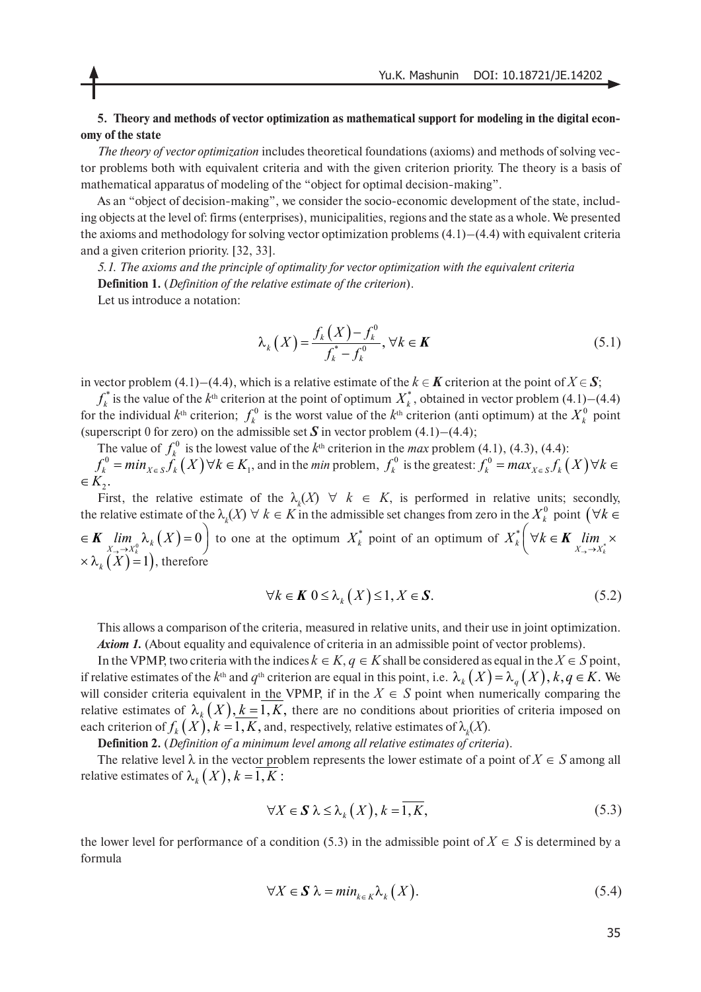## **5. Theory and methods of vector optimization as mathematical support for modeling in the digital economy of the state**

*The theory of vector optimization* includes theoretical foundations (axioms) and methods of solving vector problems both with equivalent criteria and with the given criterion priority. The theory is a basis of mathematical apparatus of modeling of the "object for optimal decision-making".

As an "object of decision-making", we consider the socio-economic development of the state, including objects at the level of: firms (enterprises), municipalities, regions and the state as a whole. We presented the axioms and methodology for solving vector optimization problems  $(4.1)$ – $(4.4)$  with equivalent criteria and a given criterion priority. [32, 33].

*5.1. The axioms and the principle of optimality for vector optimization with the equivalent criteria* **Definition 1.** (*Definition of the relative estimate of the criterion*).

Let us introduce a notation:

$$
\lambda_k(X) = \frac{f_k(X) - f_k^0}{f_k^* - f_k^0}, \forall k \in \mathbf{K}
$$
\n(5.1)

in vector problem (4.1)–(4.4), which is a relative estimate of the  $k \in K$  criterion at the point of  $X \in S$ ;

 $f_k^*$  is the value of the  $k^{\text{th}}$  criterion at the point of optimum  $X_k^*$ , obtained in vector problem (4.1)–(4.4) for the individual  $k<sup>th</sup>$  criterion;  $f_k^0$  is the worst value of the  $k<sup>th</sup>$  criterion (anti optimum) at the  $X_k^0$  point (superscript 0 for zero) on the admissible set  $S$  in vector problem (4.1)–(4.4);  $f_k^*$  is the value of the  $k^{\text{th}}$  criterion at the point of optimum  $X_k^*$ , obtained in vector problem (4.1) the individual  $k^{\text{th}}$  criterion;  $f_k^0$  is the worst value of the  $k^{\text{th}}$  criterion (anti optimum) at th

The value of  $f_k^0$  is the lowest value of the  $k^{\text{th}}$  criterion in the *max* problem (4.1), (4.3), (4.4):  $f_k^0 = min_{X \in S} \hat{f}_k(X) \forall k \in K_1$ , and in the *min* problem,  $f_k^0$  is the greatest:  $\in K_2$ .  $f_k^0$  $f_k^0 = min_{X \in S} \widetilde{f}_k(X)$   $\forall k \in K_1$ , and in the *min* problem,  $f_k^0$  is the greatest:  $f_k^0 = max_{X \in S} f_k(X)$   $\forall k \in K_1$ 

First, the relative estimate of the  $\lambda_k(X) \quad \forall \quad k \in K$ , is performed in relative units; secondly, the relative estimate of the  $\lambda_k(X) \ \forall \ k \in K$  in the admissible set changes from zero in the  $X_k^0$  point  $(\forall k \in K)$  $\text{if } K \text{ is a } k \text{ and } K \text{ is a } K \text{ is a } K \text{ and } K \text{ is a } K \text{ is a } K \text{ and } K \text{ is a } K \text{ is a } K \text{ and } K \text{ is a } K \text{ and } K \text{ is a } K \text{ and } K \text{ is a } K \text{ and } K \text{ is a } K \text{ and } K \text{ is a } K \text{ and } K \text{ is a } K \text{ and } K \text{ is a } K \text{ and } K \text{ is a } K \text{ and } K \text{ is a } K \text{ and } K \text{ is a } K \text{ and } K \text{ is a } K \text{ and$  $\times$   $\lambda_k(X)=1$ ), therefore  $\mathbb{R}^*_k$   $\forall k \in \mathbf{K}$  $X_k^*$   $\bigvee$   $k \in K$   $\lim_{X \to \to X_k^*}$  $\left(\forall k \in \mathbf{K} \lim_{X_{\rightarrow} \rightarrow X_k^*} \times \right)$ 

$$
\forall k \in \mathbf{K} \ 0 \le \lambda_k(X) \le 1, X \in \mathbf{S}.\tag{5.2}
$$

This allows a comparison of the criteria, measured in relative units, and their use in joint optimization. *Axiom 1.* (About equality and equivalence of criteria in an admissible point of vector problems).

In the VPMP, two criteria with the indices  $k \in K$ ,  $q \in K$  shall be considered as equal in the  $X \in S$  point, if relative estimates of the  $k^{\text{th}}$  and  $q^{\text{th}}$  criterion are equal in this point, i.e.  $\lambda_k(X) = \lambda_q(X), k, q \in K$ . We will consider criteria equivalent in the VPMP, if in the  $X \in S$  point when numerically comparing the relative estimates of  $\lambda_k(X)$ ,  $k = 1, K$ , there are no conditions about priorities of criteria imposed on each criterion of  $f_k(X)$ ,  $k = 1, K$ , and, respectively, relative estimates of  $\lambda_k(X)$ .

**Definition 2.** (*Definition of a minimum level among all relative estimates of criteria*).

The relative level  $\lambda$  in the vector problem represents the lower estimate of a point of  $X \in S$  among all relative estimates of  $\lambda_k(X), k = 1, K$  :

$$
\forall X \in \mathbf{S} \; \lambda \le \lambda_k(X), k = 1, K,
$$
\n<sup>(5.3)</sup>

the lower level for performance of a condition (5.3) in the admissible point of  $X \in S$  is determined by a formula

$$
\forall X \in \mathbf{S} \; \lambda = \min_{k \in K} \lambda_k(X). \tag{5.4}
$$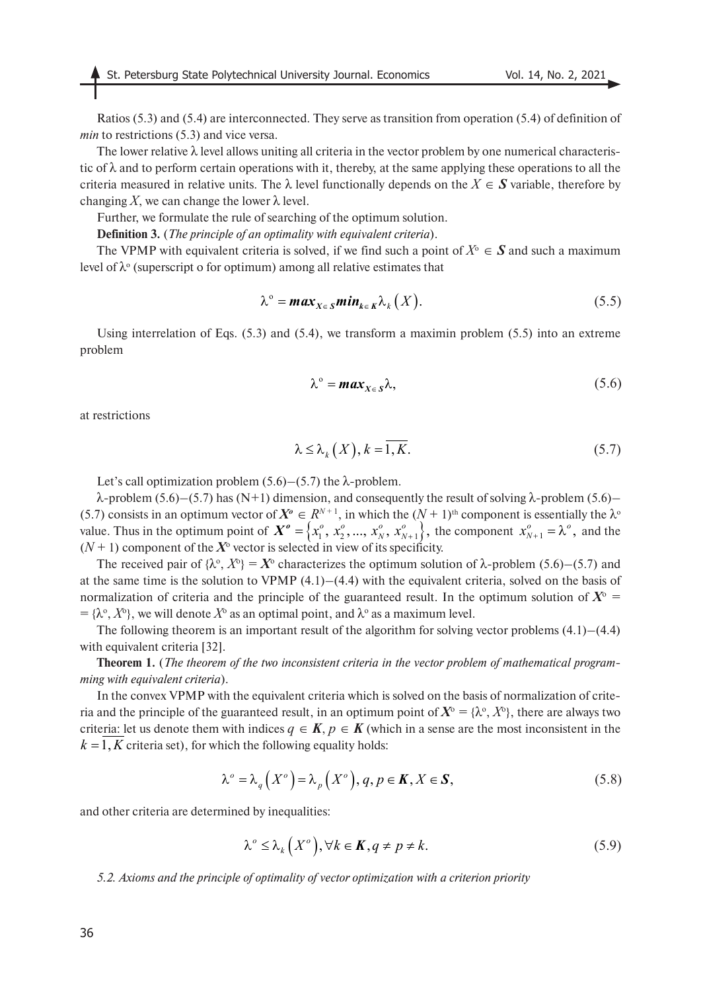Ratios (5.3) and (5.4) are interconnected. They serve as transition from operation (5.4) of definition of *min* to restrictions (5.3) and vice versa.

The lower relative  $\lambda$  level allows uniting all criteria in the vector problem by one numerical characteristic of  $\lambda$  and to perform certain operations with it, thereby, at the same applying these operations to all the criteria measured in relative units. The  $\lambda$  level functionally depends on the  $X \in S$  variable, therefore by changing X, we can change the lower  $\lambda$  level.

Further, we formulate the rule of searching of the optimum solution.

**Definition 3.** (*The principle of an optimality with equivalent criteria*).

The VPMP with equivalent criteria is solved, if we find such a point of  $X^{\circ} \in S$  and such a maximum level of  $\lambda$ <sup>o</sup> (superscript o for optimum) among all relative estimates that

$$
\lambda^{\circ} = \max_{X \in S} \min_{k \in K} \lambda_k(X).
$$
 (5.5)

Using interrelation of Eqs. (5.3) and (5.4), we transform a maximin problem (5.5) into an extreme problem

$$
\lambda^{\circ} = \max_{X \in S} \lambda, \tag{5.6}
$$

at restrictions

$$
\lambda \le \lambda_k(X), k = \overline{1, K}.\tag{5.7}
$$

Let's call optimization problem  $(5.6)$ – $(5.7)$  the  $\lambda$ -problem.

λ-problem (5.6)–(5.7) has (N+1) dimension, and consequently the result of solving λ-problem (5.6)– (5.7) consists in an optimum vector of  $X^{\circ} \in R^{N+1}$ , in which the  $(N+1)^{th}$  component is essentially the  $\lambda^{\circ}$ value. Thus in the optimum point of  $X^o = \{x_1^o, x_2^o, ..., x_N^o, x_{N+1}^o\}$ , the component  $x_{N+1}^o = \lambda^o$ , and the  $(N + 1)$  component of the  $X^{\circ}$  vector is selected in view of its specificity.

The received pair of  $\{\lambda^{\circ}, X^{\circ}\} = X^{\circ}$  characterizes the optimum solution of  $\lambda$ -problem (5.6)–(5.7) and at the same time is the solution to VPMP  $(4.1)$ – $(4.4)$  with the equivalent criteria, solved on the basis of normalization of criteria and the principle of the guaranteed result. In the optimum solution of  $X^{\circ}$  = =  $\{\lambda^\circ, X^\circ\}$ , we will denote  $X^\circ$  as an optimal point, and  $\lambda^\circ$  as a maximum level.

The following theorem is an important result of the algorithm for solving vector problems (4.1)–(4.4) with equivalent criteria [32].

**Theorem 1.** (*The theorem of the two inconsistent criteria in the vector problem of mathematical programming with equivalent criteria*).

In the convex VPMP with the equivalent criteria which is solved on the basis of normalization of criteria and the principle of the guaranteed result, in an optimum point of  $X^{\circ} = \{\lambda^{\circ}, X^{\circ}\}\,$ , there are always two criteria: let us denote them with indices  $q \in K$ ,  $p \in K$  (which in a sense are the most inconsistent in the  $k = 1, K$  criteria set), for which the following equality holds:

$$
\lambda^{\circ} = \lambda_q(X^{\circ}) = \lambda_p(X^{\circ}), q, p \in \mathbf{K}, X \in \mathbf{S},
$$
\n(5.8)

and other criteria are determined by inequalities:

$$
\lambda^{\circ} \leq \lambda_k(X^{\circ}), \forall k \in \mathbf{K}, q \neq p \neq k. \tag{5.9}
$$

*5.2. Axioms and the principle of optimality of vector optimization with a criterion priority*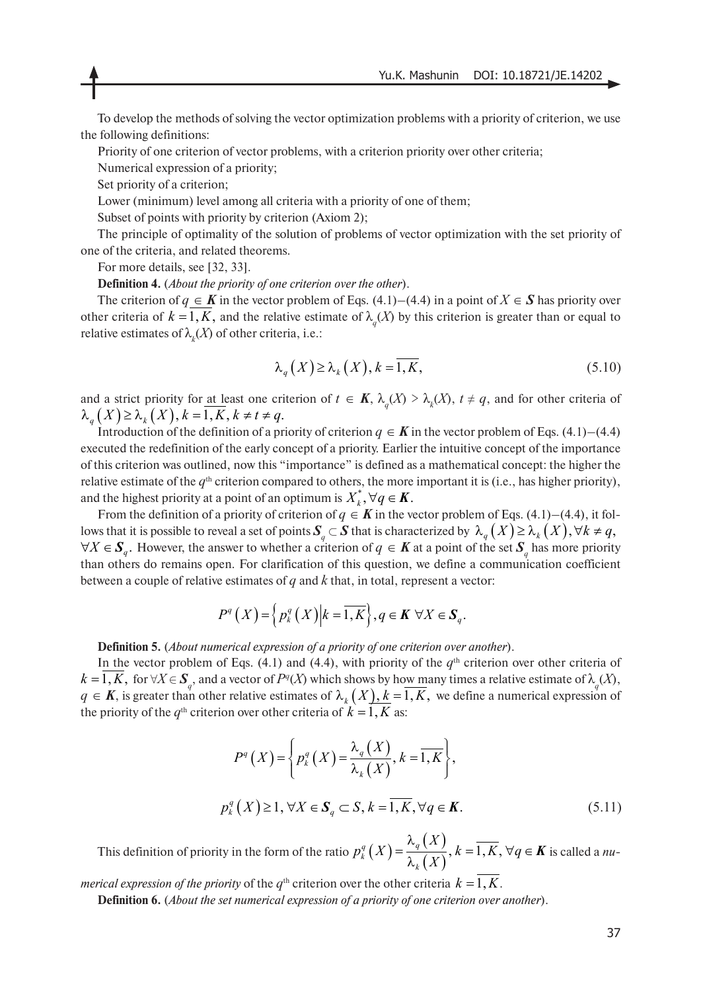To develop the methods of solving the vector optimization problems with a priority of criterion, we use the following definitions:

Priority of one criterion of vector problems, with a criterion priority over other criteria;

Numerical expression of a priority;

Set priority of a criterion;

Lower (minimum) level among all criteria with a priority of one of them;

Subset of points with priority by criterion (Axiom 2);

The principle of optimality of the solution of problems of vector optimization with the set priority of one of the criteria, and related theorems.

For more details, see [32, 33].

**Definition 4.** (*About the priority of one criterion over the other*).

The criterion of  $q \in K$  in the vector problem of Eqs. (4.1)–(4.4) in a point of  $X \in S$  has priority over other criteria of  $k = 1, K$ , and the relative estimate of  $\lambda_q(X)$  by this criterion is greater than or equal to relative estimates of  $\lambda_k(X)$  of other criteria, i.e.:

$$
\lambda_q(X) \ge \lambda_k(X), k = \overline{1, K}, \tag{5.10}
$$

and a strict priority for <u>at least</u> one criterion of  $t \in K$ ,  $\lambda_q(X) > \lambda_k(X)$ ,  $t \neq q$ , and for other criteria of  $\lambda_q(X) \geq \lambda_k(X), k = 1, K, k \neq t \neq q$ .

Introduction of the definition of a priority of criterion  $q \in K$  in the vector problem of Eqs. (4.1)–(4.4) executed the redefinition of the early concept of a priority. Earlier the intuitive concept of the importance of this criterion was outlined, now this "importance" is defined as a mathematical concept: the higher the relative estimate of the  $q<sup>th</sup>$  criterion compared to others, the more important it is (i.e., has higher priority), and the highest priority at a point of an optimum is  $X_k^*, \forall q \in K$ .

From the definition of a priority of criterion of  $q \in K$  in the vector problem of Eqs. (4.1)–(4.4), it follows that it is possible to reveal a set of points  $\pmb{S}_q\subset \pmb{S}$  that is characterized by  $\ \lambda_q\left(X\right)\geq \lambda_k\left(X\right), \forall k\neq q,$  $\forall X \in S_q$ . However, the answer to whether a criterion of  $q \in K$  at a point of the set  $S_q$  has more priority than others do remains open. For clarification of this question, we define a communication coefficient between a couple of relative estimates of *q* and *k* that, in total, represent a vector:

$$
P^{q}(X) = \left\{ p_{k}^{q}(X) \middle| k = \overline{1, K} \right\}, q \in K \ \forall X \in \mathbf{S}_{q}.
$$

**Definition 5.** (*About numerical expression of a priority of one criterion over another*).

In the vector problem of Eqs. (4.1) and (4.4), with priority of the  $q<sup>th</sup>$  criterion over other criteria of  $k = 1, K$ , for  $\forall X \in S_q$ , and a vector of  $P^q(X)$  which shows by ho<u>w many</u> times a relative estimate of  $\lambda_q(X)$ ,  $q \in K$ , is greater than other relative estimates of  $\lambda_k(X)$ ,  $k = 1, K$ , we define a numerical expression of the priority of the  $q^{\text{th}}$  criterion over other criteria of  $k = 1, K$  as:

$$
P^{q}(X) = \left\{ p_{k}^{q}(X) = \frac{\lambda_{q}(X)}{\lambda_{k}(X)}, k = \overline{1, K} \right\},
$$
  

$$
p_{k}^{q}(X) \ge 1, \forall X \in \mathbf{S}_{q} \subset S, k = \overline{1, K}, \forall q \in \mathbf{K}.
$$
 (5.11)

This definition of priority in the form of the ratio  $p_k^q(X) = \frac{\lambda_q(X)}{q(X)}$ ,  $k = \overline{1, K}$ ,  $\forall q \in K$  is called a *nu*- $(X)$  $\frac{q}{k}(X) = \frac{\kappa_q(X)}{2\kappa_k(X)}, k = \overline{1, K}, \forall q \in K$ *k X*  $p_k^q(X) = \frac{N_q(X)}{\lambda_k(X)}, k = 1, K, \forall q$ λ  $=\frac{N_q(1)}{N_q(1)}$ ,  $k=1, K, \forall q \in$ λ

*merical expression of the priority* of the  $q<sup>th</sup>$  criterion over the other criteria  $k = 1, K$ .

**Definition 6.** (*About the set numerical expression of a priority of one criterion over another*).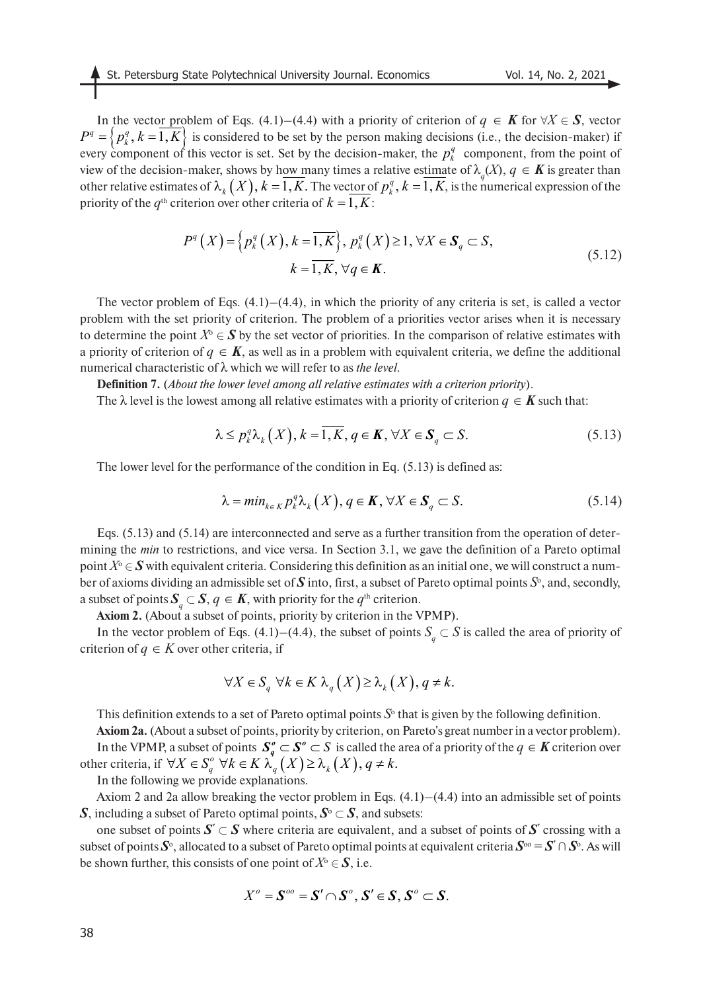In the vector problem of Eqs. (4.1)–(4.4) with a priority of criterion of *q* ∈ *K* for  $\forall X \in S$ , vector  $P^q = \langle p_i^q, k = 1, K \rangle$  is considered to be set by the person making decisions (i.e., the decision-maker) if every component of this vector is set. Set by the decision-maker, the  $p_k^q$  component, from the point of view of the decision-maker, shows by h<u>ow many</u> times a relative estimate of  $\lambda_q(X)$ ,  $q \in K$  is greater than other relative estimates of  $\lambda_k(X)$ ,  $k = 1, K$ . The vector of  $p_k^q$ ,  $k = 1, K$ , is the numerical expression of the priority of the  $q^{\text{th}}$  criterion over other criteria of  $k = 1, K$ :  $P^q = \{p_k^q, k = 1, K\}$  is considered to be set by the person making decision-<br>every component of this vector is set. Set by the decision-maker, the  $p_k^q$ 

$$
P^{q}(X) = \left\{ p_{k}^{q}(X), k = \overline{1, K} \right\}, p_{k}^{q}(X) \ge 1, \forall X \in \mathbf{S}_{q} \subset S,
$$
  

$$
k = \overline{1, K}, \forall q \in \mathbf{K}.
$$
 (5.12)

The vector problem of Eqs.  $(4.1)$ – $(4.4)$ , in which the priority of any criteria is set, is called a vector problem with the set priority of criterion. The problem of a priorities vector arises when it is necessary to determine the point  $X^{\circ} \in S$  by the set vector of priorities. In the comparison of relative estimates with a priority of criterion of  $q \in K$ , as well as in a problem with equivalent criteria, we define the additional numerical characteristic of λ which we will refer to as *the level*.

**Definition 7.** (*About the lower level among all relative estimates with a criterion priority*).

The  $\lambda$  level is the lowest among all relative estimates with a priority of criterion  $q \in K$  such that:

$$
\lambda \le p_k^q \lambda_k(X), k = 1, K, q \in \mathbf{K}, \forall X \in \mathbf{S}_q \subset S. \tag{5.13}
$$

The lower level for the performance of the condition in Eq. (5.13) is defined as:

$$
\lambda = \min_{k \in K} p_k^q \lambda_k(X), q \in \mathbf{K}, \forall X \in \mathbf{S}_q \subset S. \tag{5.14}
$$

Eqs. (5.13) and (5.14) are interconnected and serve as a further transition from the operation of determining the *min* to restrictions, and vice versa. In Section 3.1, we gave the definition of a Pareto optimal point  $X^{\circ} \in \mathbf{S}$  with equivalent criteria. Considering this definition as an initial one, we will construct a number of axioms dividing an admissible set of  $S$  into, first, a subset of Pareto optimal points  $S^{\circ}$ , and, secondly, a subset of points  $S_q \subset S$ ,  $q \in K$ , with priority for the  $q^{\text{th}}$  criterion.

**Axiom 2.** (About a subset of points, priority by criterion in the VPMP).

In the vector problem of Eqs. (4.1)–(4.4), the subset of points  $S_q \subset S$  is called the area of priority of criterion of  $q \in K$  over other criteria, if

$$
\forall X \in S_q \,\,\forall k \in K \,\,\lambda_q(X) \ge \lambda_k(X), q \ne k.
$$

This definition extends to a set of Pareto optimal points  $S<sup>6</sup>$  that is given by the following definition. **Axiom 2a.** (About a subset of points, priority by criterion, on Pareto's great number in a vector problem). In the VPMP, a subset of points  $S_q^o \subset S^o \subset S$  is called the area of a priority of the  $q \in K$  criterion over other criteria, if  $\forall X \in S_q^o \ \forall k \in K \lambda_q(X) \geq \lambda_k(X), q \neq k$ .

In the following we provide explanations.

Axiom 2 and 2a allow breaking the vector problem in Eqs.  $(4.1)$ – $(4.4)$  into an admissible set of points *S*, including a subset of Pareto optimal points,  $S^{\circ} \subset S$ , and subsets:

one subset of points  $S' \subset S$  where criteria are equivalent, and a subset of points of  $S'$  crossing with a subset of points  $S^\circ$ , allocated to a subset of Pareto optimal points at equivalent criteria  $S^\circ = S' \cap S^\circ$ . As will be shown further, this consists of one point of  $X^{\circ} \in \mathcal{S}$ , i.e.

$$
X^o=\mathbf{S}^{oo}=\mathbf{S}'\cap\mathbf{S}^o,\mathbf{S}'\in\mathbf{S},\mathbf{S}^o\subset\mathbf{S}.
$$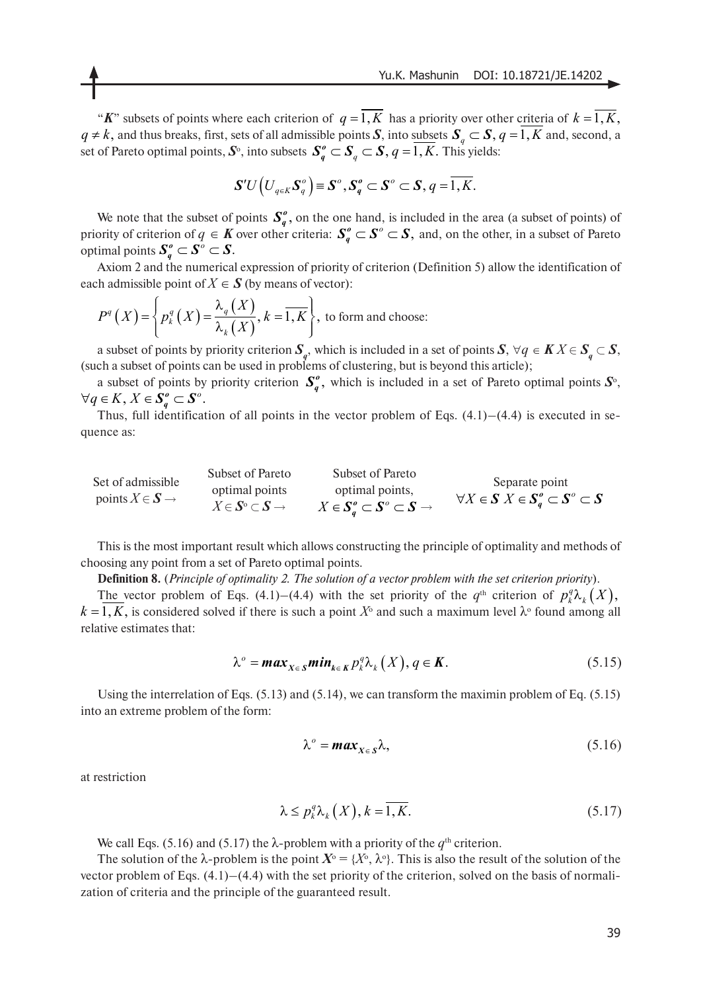"K" subsets of points where each criterion of  $q = 1, K$  has a priority over other criteria of  $k = 1, K$ ,  $q \neq k$ , and thus breaks, first, sets of all admissible points *S*, into subsets  $S_a \subset S$ ,  $q = 1, K$  and, second, a set of Pareto optimal points,  $\mathcal{S}^{\circ}$ , into subsets  $\mathcal{S}^o_a \subset \mathcal{S}$  ,  $q = 1, K$ . This yields:  $q \neq k$ , and thus breaks, first, sets of all admissible points  $S$ , into subsets  $S_q \subset S, q = 1, K$  $S_q^o \subset S_q \subset S, q = 1, K$ .

$$
\mathbf{S}^{\prime}U\left(U_{q\in K}\mathbf{S}_{q}^{o}\right)=\mathbf{S}^{o},\mathbf{S}_{q}^{o}\subset\mathbf{S}^{o}\subset\mathbf{S},q=\overline{1,K}.
$$

We note that the subset of points  $S_n^o$ , on the one hand, is included in the area (a subset of points) of priority of criterion of  $q \in K$  over other criteria:  $S_q^o \subset S^o \subset S$ , and, on the other, in a subset of Pareto optimal points  $S_q^o \subset S^o \subset S$ .  $S_q^o,$  $S^o_q \subset S^o \subset S,$ 

Axiom 2 and the numerical expression of priority of criterion (Definition 5) allow the identification of each admissible point of  $X \in S$  (by means of vector):

$$
P^{q}(X) = \left\{ p_{k}^{q}(X) = \frac{\lambda_{q}(X)}{\lambda_{k}(X)}, k = \overline{1, K} \right\}, \text{ to form and choose:}
$$

a subset of points by priority criterion  $S_q$ , which is included in a set of points  $S$ ,  $\forall q \in K X \in S_q \subset S$ , (such a subset of points can be used in problems of clustering, but is beyond this article);

a subset of points by priority criterion  $S_q^o$ , which is included in a set of Pareto optimal points  $S_o^o$ ,  $\forall q \in K, X \in S_q^o \subset S^o.$ 

Thus, full identification of all points in the vector problem of Eqs.  $(4.1)$ – $(4.4)$  is executed in sequence as:

| Set of admissible                     | Subset of Pareto                                                            | Subset of Pareto                                                                              | Separate point                                         |
|---------------------------------------|-----------------------------------------------------------------------------|-----------------------------------------------------------------------------------------------|--------------------------------------------------------|
| points $X \in \mathbf{S} \rightarrow$ | optimal points<br>$X \in \mathbf{S}^{\circ} \subset \mathbf{S} \rightarrow$ | optimal points,<br>$X \in \mathbf{S}_a^o \subset \mathbf{S}^o \subset \mathbf{S} \rightarrow$ | $\forall X \in S \; X \in S_a^o \subset S^o \subset S$ |

This is the most important result which allows constructing the principle of optimality and methods of choosing any point from a set of Pareto optimal points.

**Definition 8.** (*Principle of optimality 2. The solution of a vector problem with the set criterion priority*).

The vector problem of Eqs. (4.1)–(4.4) with the set priority of the  $q^{\text{th}}$  criterion of  $p_k^q \lambda_k(X)$ ,  $k = 1, K$ , is considered solved if there is such a point  $X^{\circ}$  and such a maximum level  $\lambda^{\circ}$  found among all relative estimates that:

$$
\lambda^o = \max_{X \in S} \min_{k \in K} p_k^q \lambda_k(X), q \in K. \tag{5.15}
$$

Using the interrelation of Eqs. (5.13) and (5.14), we can transform the maximin problem of Eq. (5.15) into an extreme problem of the form:

$$
\lambda^o = \max_{X \in S} \lambda,\tag{5.16}
$$

at restriction

$$
\lambda \le p_k^q \lambda_k(X), k = \overline{1, K}.\tag{5.17}
$$

We call Eqs. (5.16) and (5.17) the  $\lambda$ -problem with a priority of the  $q^{\text{th}}$  criterion.

The solution of the  $\lambda$ -problem is the point  $X^{\circ} = \{X^{\circ}, \lambda^{\circ}\}\$ . This is also the result of the solution of the vector problem of Eqs. (4.1)–(4.4) with the set priority of the criterion, solved on the basis of normalization of criteria and the principle of the guaranteed result.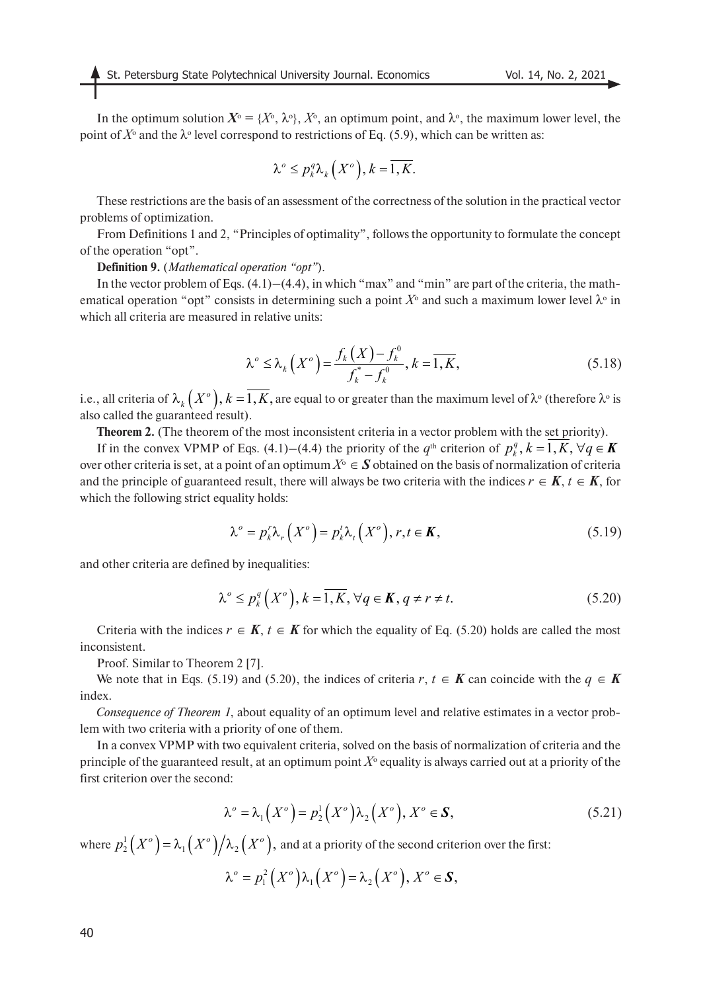In the optimum solution  $X^{\circ} = \{X^{\circ}, \lambda^{\circ}\}, X^{\circ}$ , an optimum point, and  $\lambda^{\circ}$ , the maximum lower level, the point of  $X^{\circ}$  and the  $\lambda^{\circ}$  level correspond to restrictions of Eq. (5.9), which can be written as:

$$
\lambda^o \le p_k^q \lambda_k(X^o), k = \overline{1, K}.
$$

These restrictions are the basis of an assessment of the correctness of the solution in the practical vector problems of optimization.

From Definitions 1 and 2, "Principles of optimality", follows the opportunity to formulate the concept of the operation "opt".

**Definition 9.** (*Mathematical operation "opt"*).

In the vector problem of Eqs.  $(4.1)$ – $(4.4)$ , in which "max" and "min" are part of the criteria, the mathematical operation "opt" consists in determining such a point  $X^{\circ}$  and such a maximum lower level  $\lambda^{\circ}$  in which all criteria are measured in relative units:

$$
\lambda^{\circ} \le \lambda_{k}\left(X^{\circ}\right) = \frac{f_{k}\left(X\right) - f_{k}^{\circ}}{f_{k}^{*} - f_{k}^{\circ}}, k = \overline{1, K},
$$
\n(5.18)

i.e., all criteria of  $\lambda_k\left(X^o\right), k=1, K,$  are equal to or greater than the maximum level of  $\lambda^o$  (therefore  $\lambda^o$  is also called the guaranteed result).

**Theorem 2.** (The theorem of the most inconsistent criteria in a vector problem with the set priority).

If in the convex VPMP of Eqs. (4.1)–(4.4) the priority of the  $q^{\text{th}}$  criterion of  $p_k^q$ ,  $k = 1, K, \forall q \in \mathbf{K}$ over other criteria is set, at a point of an optimum  $X^{\circ} \in S$  obtained on the basis of normalization of criteria and the principle of guaranteed result, there will always be two criteria with the indices  $r \in K$ ,  $t \in K$ , for which the following strict equality holds:

$$
\lambda^o = p_k^r \lambda_r \left( X^o \right) = p_k^t \lambda_t \left( X^o \right), r, t \in \mathbf{K}, \tag{5.19}
$$

and other criteria are defined by inequalities:

$$
\lambda^{\circ} \le p_k^q\left(X^{\circ}\right), k = \overline{1, K}, \forall q \in K, q \ne r \ne t. \tag{5.20}
$$

Criteria with the indices  $r \in K$ ,  $t \in K$  for which the equality of Eq. (5.20) holds are called the most inconsistent.

Proof. Similar to Theorem 2 [7].

We note that in Eqs. (5.19) and (5.20), the indices of criteria *r*,  $t \in K$  can coincide with the  $q \in K$ index.

*Consequence of Theorem 1*, about equality of an optimum level and relative estimates in a vector problem with two criteria with a priority of one of them.

In a convex VPMP with two equivalent criteria, solved on the basis of normalization of criteria and the principle of the guaranteed result, at an optimum point  $X^{\circ}$  equality is always carried out at a priority of the first criterion over the second:

$$
\lambda^{\circ} = \lambda_1(X^{\circ}) = p_2^1(X^{\circ})\lambda_2(X^{\circ}), X^{\circ} \in \mathbf{S},
$$
\n(5.21)

where  $p_2^1\big(X^o\big)=\lambda_1\big(X^o\big)\big/\lambda_2\big(X^o\big),$  and at a priority of the second criterion over the first:

$$
\lambda^o = p_1^2(X^o)\lambda_1(X^o) = \lambda_2(X^o), X^o \in S,
$$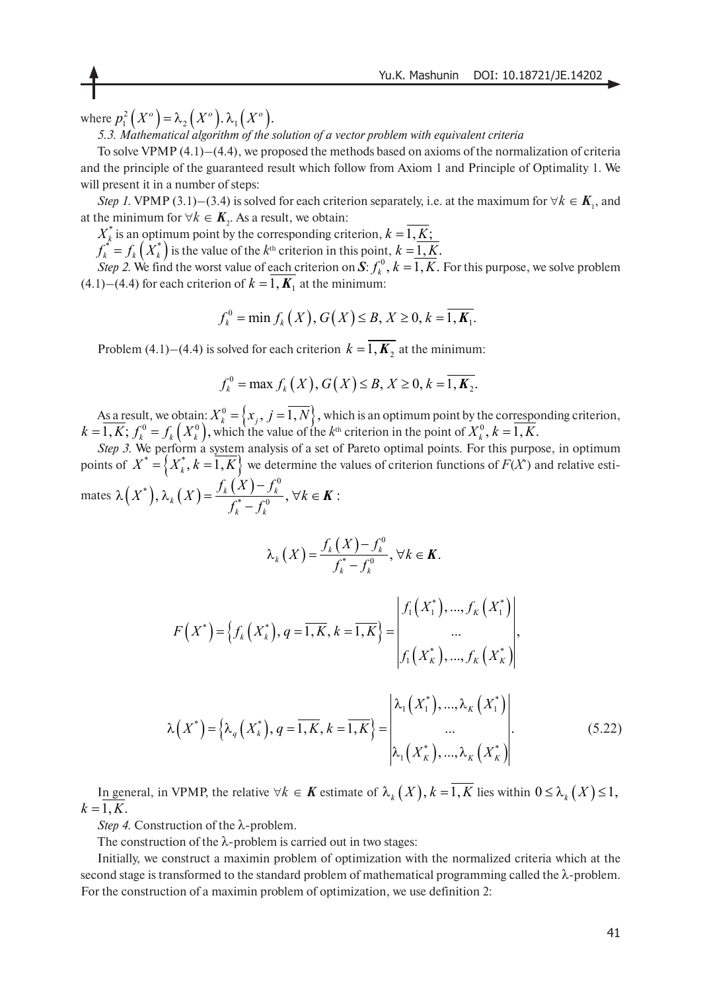where  $p_1^2(X^o)$  =  $\lambda_2(X^o)$ .  $\lambda_1(X^o)$ .

*5.3. Mathematical algorithm of the solution of a vector problem with equivalent criteria*

To solve VPMP  $(4.1)$ – $(4.4)$ , we proposed the methods based on axioms of the normalization of criteria and the principle of the guaranteed result which follow from Axiom 1 and Principle of Optimality 1. We will present it in a number of steps:

*Step 1.* VPMP (3.1)–(3.4) is solved for each criterion separately, i.e. at the maximum for  $\forall k \in K_1$ , and at the minimum for ∀ $k \in K$ <sub>2</sub>. As a result, we obtain:

 is an optimum point by the corresponding criterion,  $X^*_{k}$  is an optimum point by the corresponding criterion,  $k = 1, \underline{K};$ 

*k k*

 $f_k^* = f_k(X_k^*)$  is the value of the  $k^{\text{th}}$  criterion in this point,  $f_k^* = f_k\left(X_k^*\right)$  is the value of the  $k^{\text{th}}$  criterion in this point,  $k = \underline{1, K}$ .

*Step 2.* We find the worst value of each criterion on  $S: f_k^0$ ,  $k = 1, K$ . For this purpose, we solve problem  $(4.1)$ – $(4.4)$  for each criterion of  $k = 1, K<sub>1</sub>$  at the minimum:

$$
f_k^0 = \min f_k(X), G(X) \le B, X \ge 0, k = \overline{1, K_1}.
$$

Problem (4.1)–(4.4) is solved for each criterion  $k = 1, K_2$  at the minimum:

$$
f_k^0 = \max f_k(X), G(X) \le B, X \ge 0, k = \overline{1, K_2}.
$$

As a result, we obtain:  $X_i^0 = \{x_i, j = 1, N\}$ , which is an optimum point by the corresponding criterion,  $k = 1, K; f_k^0 = f_k(X_k^0)$ , which the value of the  $k^{\text{th}}$  criterion in the point of  ${X}_k^0 = \left\{ {x_j ,\,j = \overline {1,N}} \right\},$  $(k = 1, K; f_k^0 = f_k(X_k^0)$ , which the value of the  $k^{\text{th}}$  criterion in the point of  $X_k^0$ ,  $k = 1, K$ .

*Step 3.* We perform a system analysis of a set of Pareto optimal points. For this purpose, in optimum points of  $X^* = \{X_k^*, k = \overline{1, K}\}$  we determine the values of criterion functions of  $F(X^*)$  and relative estimates  $\lambda(X^*)$ ,  $\lambda_k(X) = \frac{f_k(X) - f_k^0}{f^* + f_k^0}$ ,  $\forall k \in \mathbf{K}$ :  $f(X^*)$ ,  $\lambda_k(X) = \frac{f_k(X) - f_k^0}{f_k^* - f_k^0}$ ,  $\forall k$  $\lambda\left(X^*\right), \lambda_k\left(X\right) = \frac{f_k\left(X\right) - f_k^0}{f_k^* - f_k^0}, \, \forall k \in \mathbb{R}$ 

$$
\lambda_k(X) = \frac{f_k(X) - f_k^0}{f_k^* - f_k^0}, \forall k \in \mathbf{K}.
$$

$$
F(X^*) = \left\{ f_k(X_k^*), q = \overline{1, K}, k = \overline{1, K} \right\} = \begin{vmatrix} f_1(X_1^*), ..., f_K(X_1^*) \\ ... \\ f_1(X_K^*), ..., f_K(X_K^*) \end{vmatrix},
$$

$$
\lambda\left(X^{*}\right) = \left\{\lambda_{q}\left(X_{k}^{*}\right), q = \overline{1, K}, k = \overline{1, K}\right\} = \begin{bmatrix} \lambda_{1}\left(X_{1}^{*}\right), ..., \lambda_{K}\left(X_{1}^{*}\right) \\ ... \\ \lambda_{1}\left(X_{K}^{*}\right), ..., \lambda_{K}\left(X_{K}^{*}\right) \end{bmatrix} .
$$
 (5.22)

In general, in VPMP, the relative  $\forall k \in K$  estimate of  $\lambda_k(X)$ ,  $k = 1, K$  lies within  $0 \le \lambda_k(X) \le 1$ ,  $k = 1, K$ .

*Step 4.* Construction of the λ-problem.

The construction of the  $\lambda$ -problem is carried out in two stages:

Initially, we construct a maximin problem of optimization with the normalized criteria which at the second stage is transformed to the standard problem of mathematical programming called the λ-problem. For the construction of a maximin problem of optimization, we use definition 2: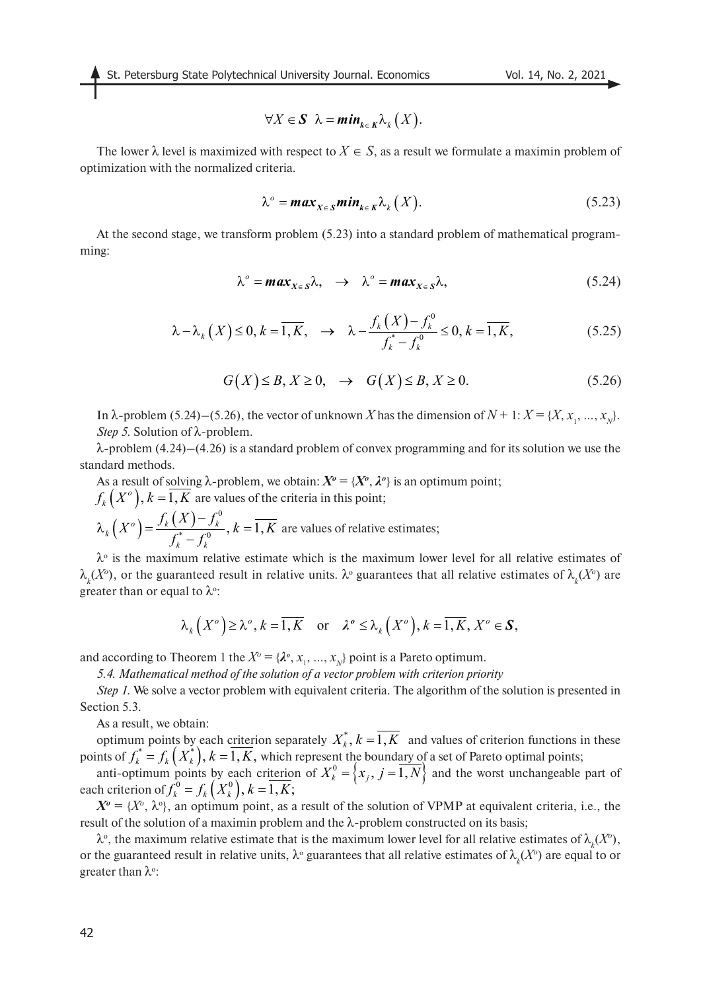$$
\forall X \in \mathbf{S} \ \lambda = \min_{k \in K} \lambda_k(X).
$$

The lower  $\lambda$  level is maximized with respect to  $X \in S$ , as a result we formulate a maximin problem of optimization with the normalized criteria.

$$
\lambda^o = \max_{X \in S} \min_{k \in K} \lambda_k(X).
$$
 (5.23)

At the second stage, we transform problem (5.23) into a standard problem of mathematical programming:

$$
\lambda^o = \max_{X \in S} \lambda, \quad \to \quad \lambda^o = \max_{X \in S} \lambda,
$$
\n(5.24)

$$
\lambda - \lambda_k(X) \le 0, k = \overline{1, K}, \quad \to \quad \lambda - \frac{f_k(X) - f_k^0}{f_k^* - f_k^0} \le 0, k = \overline{1, K}, \tag{5.25}
$$

$$
G(X) \le B, X \ge 0, \rightarrow G(X) \le B, X \ge 0.
$$
\n
$$
(5.26)
$$

In  $\lambda$ -problem (5.24)–(5.26), the vector of unknown *X* has the dimension of  $N + 1$ :  $X = \{X, x_1, ..., x_N\}$ . *Step 5.* Solution of λ-problem.

 $λ$ -problem  $(4.24)$ – $(4.26)$  is a standard problem of convex programming and for its solution we use the standard methods.

As a result of solving  $\lambda$ -problem, we obtain:  $X^o = \{X^o, \lambda^o\}$  is an optimum point;  $\mathcal{A}_k\left(X^o\right), k = 1, K$  are values of the criteria in this point;

$$
\lambda_k(X^o) = \frac{f_k(X) - f_k^o}{f_k^* - f_k^o}, k = \overline{1, K}
$$
 are values of relative estimates;

 $\lambda$ <sup>o</sup> is the maximum relative estimate which is the maximum lower level for all relative estimates of  $\lambda_k(X^o)$ , or the guaranteed result in relative units.  $\lambda^o$  guarantees that all relative estimates of  $\lambda_k(X^o)$  are greater than or equal to  $\lambda$ °:

$$
\lambda_k(X^{\circ}) \ge \lambda^{\circ}, k = \overline{1, K} \text{ or } \lambda^{\circ} \le \lambda_k(X^{\circ}), k = \overline{1, K}, X^{\circ} \in S,
$$

and according to Theorem 1 the  $X^o = {\lambda}^o, x_1, ..., x_N$  point is a Pareto optimum.

*5.4. Mathematical method of the solution of a vector problem with criterion priority*

*Step 1.* We solve a vector problem with equivalent criteria. The algorithm of the solution is presented in Section 5.3.

As a result, we obtain:

optimum points by each criterion separately  $X_k^*$ ,  $k = 1, K$  and values of criterion functions in these points of  $f^*_i = f^*_k(X^*_i)$ ,  $k = 1, K$ , which represent the boundary of a set of Pareto optimal points;  $f_{k}^{*} = f_{k}(X_{k}^{*}), k = 1, K,$ 

anti-optimum points by each criterion of  $X_i^0 = \{x_i, j = 1, N\}$  and the worst unchangeable part of each criterion of  ${X_{k}^{0}} = {x_{j}, j = 1, N}$  $f_k^0 = f_k(X_k^0), k = 1, K;$ 

 $X^o = \{X^o, \lambda^o\}$ , an optimum point, as a result of the solution of VPMP at equivalent criteria, i.e., the result of the solution of a maximin problem and the λ-problem constructed on its basis;

 $\lambda^{\circ}$ , the maximum relative estimate that is the maximum lower level for all relative estimates of  $\lambda_k(X^{\circ})$ , or the guaranteed result in relative units,  $\lambda^{\circ}$  guarantees that all relative estimates of  $\lambda_k(X^o)$  are equal to or greater than  $\lambda$ °: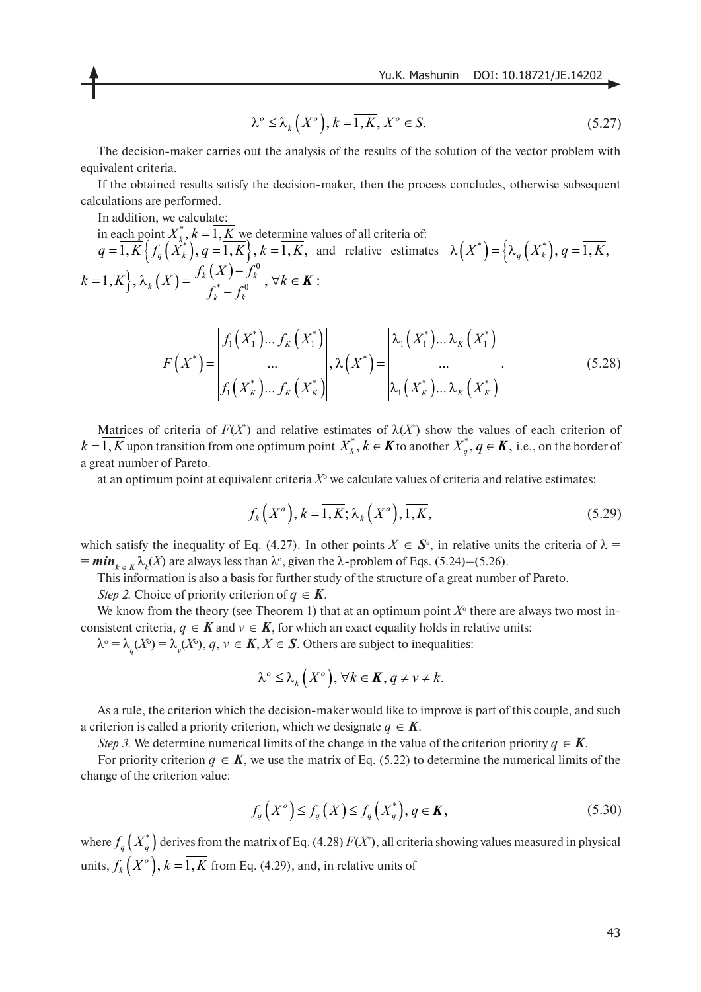$$
\lambda^o \le \lambda_k(X^o), k = \overline{1, K}, X^o \in S. \tag{5.27}
$$

The decision-maker carries out the analysis of the results of the solution of the vector problem with equivalent criteria.

If the obtained results satisfy the decision-maker, then the process concludes, otherwise subsequent calculations are performed.

In addition, we calculate:

in each point  $X_k$ ,  $k = 1, K$  we determine values of all criteria of:  $q=1, K\{f_a(X_k^*)\}, q=1, K\}, k=1, K$ , and relative estimates  $k = \overline{1, K}$ ,  $\lambda_k(X) = \frac{f_k(X) - f_k^0}{f_k^* - f_k^0}, \forall k \in \mathbf{K}$ :  $X_k^*, k = 1, \underline{K}$  ${q = 1, K} \left\{ {f_q \left( {X_k^*} \right),q = 1,K} \right\}, k = 1, K,$  and relative estimates  ${\lambda \left( {{X^*}} \right) = } \left\{ {\lambda _q \left( {X_k^*} \right),q = 1,K} \right\}$ *k k*  $k = \overline{1, K}$ ,  $\lambda_k(X) = \frac{f_k(X) - f_k^0}{f_k^* - f_k^0}$ ,  $\forall k$  $\{f_k\left(X\right)=\frac{f_k\left(X\right)-f_k^0}{f_k^*-f_k^0},\,\forall k\in$ 

$$
F(X^*) = \begin{vmatrix} f_1(X_1^*) \dots f_K(X_1^*) \\ \dots \\ f_1(X_K^*) \dots f_K(X_K^*) \end{vmatrix}, \lambda(X^*) = \begin{vmatrix} \lambda_1(X_1^*) \dots \lambda_K(X_1^*) \\ \dots \\ \lambda_1(X_K^*) \dots \lambda_K(X_K^*) \end{vmatrix}.
$$
 (5.28)

Matrices of criteria of  $F(X^*)$  and relative estimates of  $\lambda(X^*)$  show the values of each criterion of  $k = 1, K$  upon transition from one optimum point  $X_k^*, k \in K$  to another  $X_q^*, q \in K$ , i.e., on the border of a great number of Pareto.

at an optimum point at equivalent criteria  $X^{\circ}$  we calculate values of criteria and relative estimates:

$$
f_k(X^o), k = \overline{1, K}; \lambda_k(X^o), \overline{1, K}, \qquad (5.29)
$$

which satisfy the inequality of Eq. (4.27). In other points  $X \in S^{\circ}$ , in relative units the criteria of  $\lambda =$  $= min<sub>k ∈ K</sub> λ<sub>k</sub>(X)$  are always less than λ°, given the λ-problem of Eqs. (5.24)–(5.26).

This information is also a basis for further study of the structure of a great number of Pareto.

*Step 2.* Choice of priority criterion of  $q \in K$ .

We know from the theory (see Theorem 1) that at an optimum point  $X^{\circ}$  there are always two most inconsistent criteria,  $q \in K$  and  $v \in K$ , for which an exact equality holds in relative units:

 $\lambda^{\circ} = \lambda_q(X^{\circ}) = \lambda_y(X^{\circ}), q, \nu \in \mathbf{K}, X \in \mathbf{S}$ . Others are subject to inequalities:

$$
\lambda^{\circ} \leq \lambda_k(X^{\circ}), \forall k \in \mathbf{K}, q \neq v \neq k.
$$

As a rule, the criterion which the decision-maker would like to improve is part of this couple, and such a criterion is called a priority criterion, which we designate  $q \in K$ .

*Step 3.* We determine numerical limits of the change in the value of the criterion priority  $q \in K$ .

For priority criterion  $q \in K$ , we use the matrix of Eq. (5.22) to determine the numerical limits of the change of the criterion value:

$$
f_q(X^o) \le f_q(X) \le f_q(X_q^*), q \in K,
$$
\n(5.30)

where  $f_q(X_q^*)$  derives from the matrix of Eq. (4.28)  $F(X^*)$ , all criteria showing values measured in physical units,  $f_{k}\left( X^o\right)$ ,  $k=\overline{1,K}$  from Eq. (4.29), and, in relative units of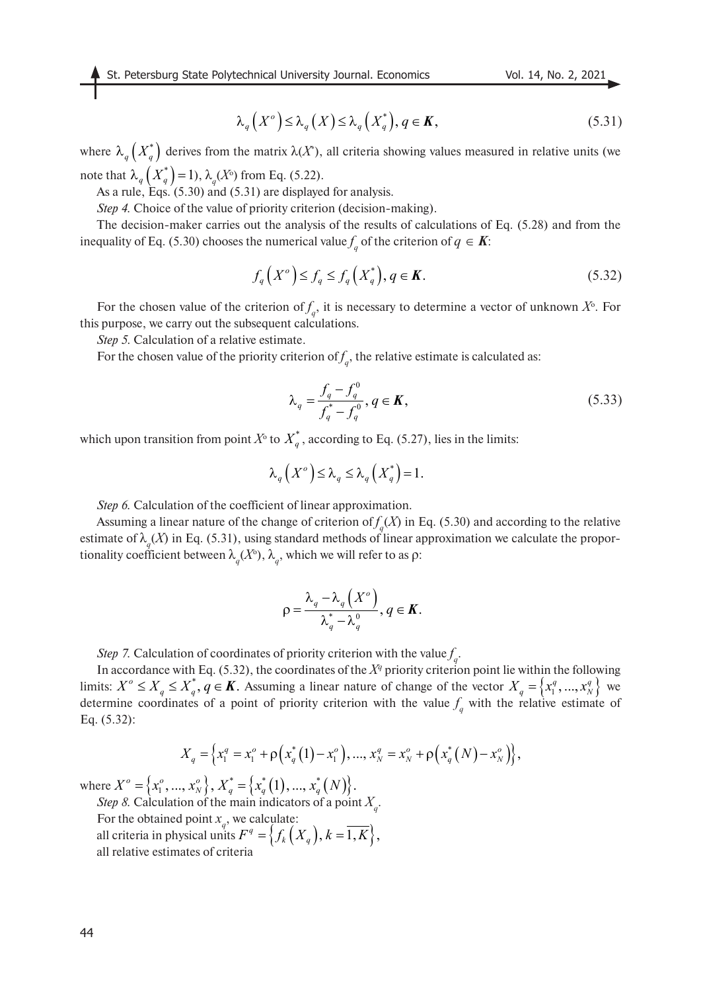$$
\lambda_q(X^o) \leq \lambda_q(X) \leq \lambda_q(X_q^*), q \in K,
$$
\n(5.31)

where  $\lambda_q(X_q^*)$  derives from the matrix  $\lambda(X^*)$ , all criteria showing values measured in relative units (we note that  $\lambda_q(X_q^*)$  = 1),  $\lambda_q(X^{\circ})$  from Eq. (5.22).

As a rule, Eqs.  $(5.30)$  and  $(5.31)$  are displayed for analysis.

*Step 4.* Choice of the value of priority criterion (decision-making).

The decision-maker carries out the analysis of the results of calculations of Eq. (5.28) and from the inequality of Eq. (5.30) chooses the numerical value  $f_q$  of the criterion of  $q \in K$ :

$$
f_q(X^o) \le f_q \le f_q(X_q^*), q \in \mathbf{K}.\tag{5.32}
$$

For the chosen value of the criterion of  $f_q$ , it is necessary to determine a vector of unknown  $X^{\circ}$ . For this purpose, we carry out the subsequent calculations.

*Step 5.* Calculation of a relative estimate.

For the chosen value of the priority criterion of  $f_q$ , the relative estimate is calculated as:

$$
\lambda_q = \frac{f_q - f_q^0}{f_q^* - f_q^0}, q \in \mathbf{K},
$$
\n(5.33)

which upon transition from point  $X^{\circ}$  to  $X^*_{q}$ , according to Eq. (5.27), lies in the limits:

$$
\lambda_q(X^o) \leq \lambda_q \leq \lambda_q(X^*_q) = 1.
$$

*Step 6.* Calculation of the coefficient of linear approximation.

Assuming a linear nature of the change of criterion of  $f_q(X)$  in Eq. (5.30) and according to the relative estimate of  $\lambda_q(X)$  in Eq. (5.31), using standard methods of linear approximation we calculate the proportionality coefficient between  $\lambda_q(X^{\circ})$ ,  $\lambda_q$ , which we will refer to as  $\rho$ :

$$
\rho = \frac{\lambda_q - \lambda_q\left(X^o\right)}{\lambda_q^* - \lambda_q^o}, q \in K.
$$

*Step 7.* Calculation of coordinates of priority criterion with the value  $f_q$ .

In accordance with Eq. (5.32), the coordinates of the  $X^q$  priority criterion point lie within the following limits:  $X^{\circ} \leq X_{\alpha} \leq X_{\alpha}$ ,  $q \in K$ . Assuming a linear nature of change of the vector  $X_{\alpha} = \{x_1^q, ..., x_N^q\}$  we determine coordinates of a point of priority criterion with the value  $f_q$  with the relative estimate of Eq. (5.32):  $X^{\circ} \leq X_q \leq X_q^*$ ,  $q \in \mathbf{K}$ . Assuming a linear nature of change of the vector  $X_q = \{x_1^q, ..., x_N^q\}$ 

$$
X_q = \left\{ x_1^q = x_1^o + \rho \left( x_q^* (1) - x_1^o \right), \dots, x_N^q = x_N^o + \rho \left( x_q^* (N) - x_N^o \right) \right\},
$$

where *Step 8.* Calculation of the main indicators of a point *X* .  ${X^o} = \{x_1^o, ..., x_N^o\}, X_q^* = \{x_q^*\left(1\right), ..., x_q^*\left(N\right)\}.$ 

For the obtained point  $x_q$ , we calculate: all criteria in physical units  $F^q = \left\{ f_k\left(X_q\right), k=\overline{1,K} \right\},$ all relative estimates of criteria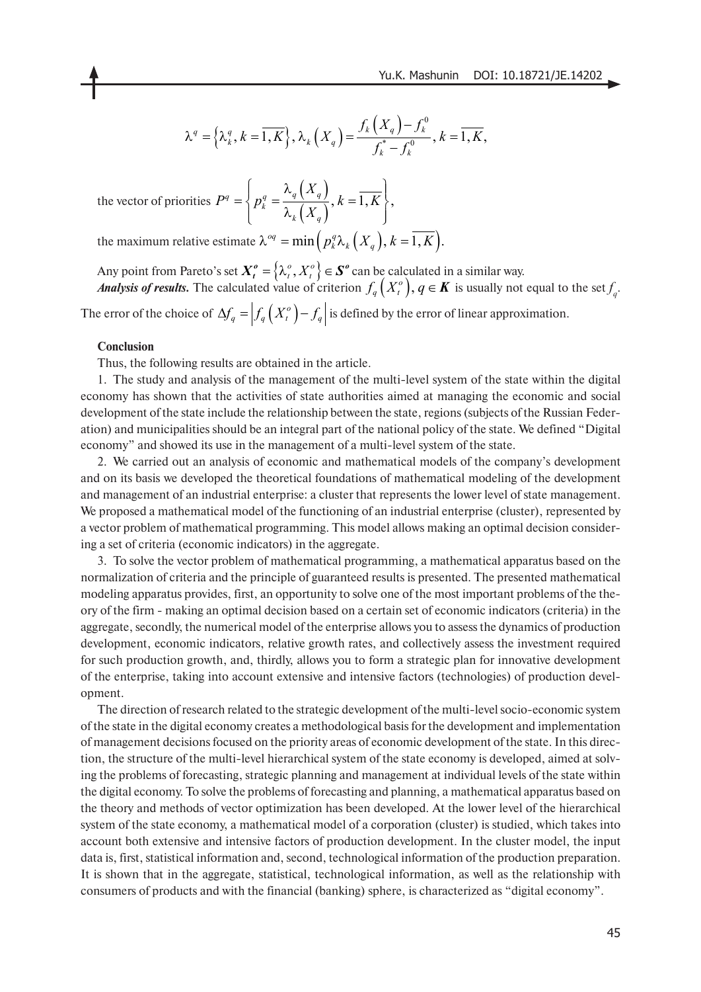$$
\lambda^{q} = \left\{\lambda_{k}^{q}, k = \overline{1, K}\right\}, \lambda_{k}\left(X_{q}\right) = \frac{f_{k}\left(X_{q}\right) - f_{k}^{0}}{f_{k}^{*} - f_{k}^{0}}, k = \overline{1, K},
$$

the vector of priorities  $(X_q)$  $(X_q)$  $q = \left\{ p_k^q = \frac{N_q(N_q)}{2(N)}, k = \overline{1, K} \right\},\$  $k \left( \begin{array}{c} 2 \lambda \\ q \end{array} \right)$ *X*  $P^q = \left\{ p_k^q = \frac{\lambda_q(X_q)}{\lambda_k(X_q)}, k = \overline{1, K} \right\}$ 

the maximum relative estimate  $\lambda^{oq} = \min\left(p_k^q \lambda_k \left(X_q\right), k = \overline{1, K}\right)$ .

Any point from Pareto's set  $X_t^o = \{ \lambda_t^o, X_t^o \} \in S^o$  can be calculated in a similar way. *Analysis of results.* The calculated value of criterion  $f_q(X_t^o)$ ,  $q \in K$  is usually not equal to the set  $f_q$ . The error of the choice of  $\Delta f_q = \left| f_q(X_t^o) - f_q \right|$  is defined by the error of linear approximation.  $\left\{\mathbf X_t^o=\left\{\mathbf\lambda_t^o,X_t^o\right\}\in \mathbf S^o\right\}$  $f_q(X_t^o), q \in K$ 

#### **Conclusion**

Thus, the following results are obtained in the article.

1. The study and analysis of the management of the multi-level system of the state within the digital economy has shown that the activities of state authorities aimed at managing the economic and social development of the state include the relationship between the state, regions (subjects of the Russian Federation) and municipalities should be an integral part of the national policy of the state. We defined "Digital economy" and showed its use in the management of a multi-level system of the state.

2. We carried out an analysis of economic and mathematical models of the company's development and on its basis we developed the theoretical foundations of mathematical modeling of the development and management of an industrial enterprise: a cluster that represents the lower level of state management. We proposed a mathematical model of the functioning of an industrial enterprise (cluster), represented by a vector problem of mathematical programming. This model allows making an optimal decision considering a set of criteria (economic indicators) in the aggregate.

3. To solve the vector problem of mathematical programming, a mathematical apparatus based on the normalization of criteria and the principle of guaranteed results is presented. The presented mathematical modeling apparatus provides, first, an opportunity to solve one of the most important problems of the theory of the firm - making an optimal decision based on a certain set of economic indicators (criteria) in the aggregate, secondly, the numerical model of the enterprise allows you to assess the dynamics of production development, economic indicators, relative growth rates, and collectively assess the investment required for such production growth, and, thirdly, allows you to form a strategic plan for innovative development of the enterprise, taking into account extensive and intensive factors (technologies) of production development.

The direction of research related to the strategic development of the multi-level socio-economic system of the state in the digital economy creates a methodological basis for the development and implementation of management decisions focused on the priority areas of economic development of the state. In this direction, the structure of the multi-level hierarchical system of the state economy is developed, aimed at solving the problems of forecasting, strategic planning and management at individual levels of the state within the digital economy. To solve the problems of forecasting and planning, a mathematical apparatus based on the theory and methods of vector optimization has been developed. At the lower level of the hierarchical system of the state economy, a mathematical model of a corporation (cluster) is studied, which takes into account both extensive and intensive factors of production development. In the cluster model, the input data is, first, statistical information and, second, technological information of the production preparation. It is shown that in the aggregate, statistical, technological information, as well as the relationship with consumers of products and with the financial (banking) sphere, is characterized as "digital economy".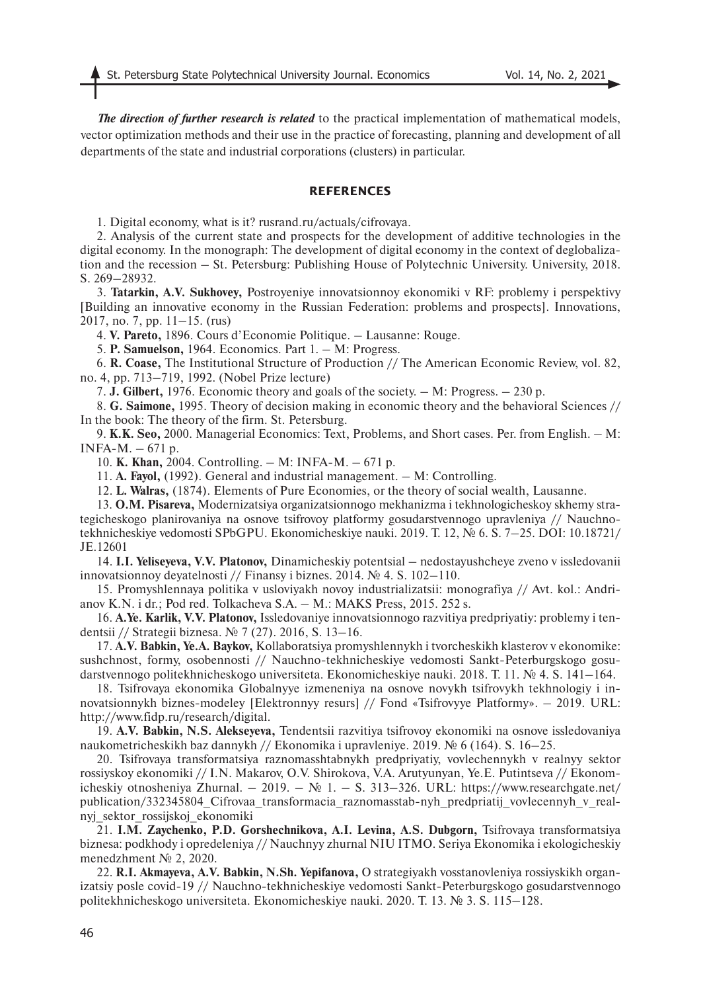*The direction of further research is related* to the practical implementation of mathematical models, vector optimization methods and their use in the practice of forecasting, planning and development of all departments of the state and industrial corporations (clusters) in particular.

#### **REFERENCES**

1. Digital economy, what is it? rusrand.ru/actuals/cifrovaya.

2. Analysis of the current state and prospects for the development of additive technologies in the digital economy. In the monograph: The development of digital economy in the context of deglobalization and the recession – St. Petersburg: Publishing House of Polytechnic University. University, 2018. S. 269–28932.

3. **Tatarkin, A.V. Sukhovey,** Postroyeniye innovatsionnoy ekonomiki v RF: problemy i perspektivy [Building an innovative economy in the Russian Federation: problems and prospects]. Innovations, 2017, no. 7, pp. 11–15. (rus)

4. **V. Pareto,** 1896. Cours d'Economie Politique. – Lausanne: Rouge.

5. **P. Samuelson,** 1964. Economics. Part 1. – M: Progress.

6. **R. Coase,** The Institutional Structure of Production // The American Economic Review, vol. 82, no. 4, pp. 713–719, 1992. (Nobel Prize lecture)

7. **J. Gilbert,** 1976. Economic theory and goals of the society. – M: Progress. – 230 p.

8. **G. Saimone,** 1995. Theory of decision making in economic theory and the behavioral Sciences // In the book: The theory of the firm. St. Petersburg.

9. **K.K. Seo,** 2000. Managerial Economics: Text, Problems, and Short cases. Per. from English. – M: INFA-M.  $-671$  p.

10. **K. Khan,** 2004. Controlling. – M: INFA-M. – 671 p.

11. **A. Fayol,** (1992). General and industrial management. – M: Controlling.

12. **L. Walras,** (1874). Elements of Pure Economies, or the theory of social wealth, Lausanne.

13. **O.M. Pisareva,** Modernizatsiya organizatsionnogo mekhanizma i tekhnologicheskoy skhemy strategicheskogo planirovaniya na osnove tsifrovoy platformy gosudarstvennogo upravleniya // Nauchnotekhnicheskiye vedomosti SPbGPU. Ekonomicheskiye nauki. 2019. T. 12, № 6. S. 7–25. DOI: 10.18721/ JE.12601

14. **I.I. Yeliseyeva, V.V. Platonov,** Dinamicheskiy potentsial – nedostayushcheye zveno v issledovanii innovatsionnoy deyatelnosti // Finansy i biznes. 2014. № 4. S. 102–110.

15. Promyshlennaya politika v usloviyakh novoy industrializatsii: monografiya // Avt. kol.: Andrianov K.N. i dr.; Pod red. Tolkacheva S.A. – M.: MAKS Press, 2015. 252 s.

16. **A.Ye. Karlik, V.V. Platonov,** Issledovaniye innovatsionnogo razvitiya predpriyatiy: problemy i tendentsii // Strategii biznesa. № 7 (27). 2016, S. 13–16.

17. **A.V. Babkin, Ye.A. Baykov,** Kollaboratsiya promyshlennykh i tvorcheskikh klasterov v ekonomike: sushchnost, formy, osobennosti // Nauchno-tekhnicheskiye vedomosti Sankt-Peterburgskogo gosudarstvennogo politekhnicheskogo universiteta. Ekonomicheskiye nauki. 2018. T. 11. № 4. S. 141–164.

18. Tsifrovaya ekonomika Globalnyye izmeneniya na osnove novykh tsifrovykh tekhnologiy i innovatsionnykh biznes-modeley [Elektronnyy resurs] // Fond «Tsifrovyye Platformy». – 2019. URL: http://www.fidp.ru/research/digital.

19. **A.V. Babkin, N.S. Alekseyeva,** Tendentsii razvitiya tsifrovoy ekonomiki na osnove issledovaniya naukometricheskikh baz dannykh // Ekonomika i upravleniye. 2019. № 6 (164). S. 16–25.

20. Tsifrovaya transformatsiya raznomasshtabnykh predpriyatiy, vovlechennykh v realnyy sektor rossiyskoy ekonomiki // I.N. Makarov, O.V. Shirokova, V.A. Arutyunyan, Ye.E. Putintseva // Ekonomicheskiy otnosheniya Zhurnal. – 2019. –  $\mathbb{N}$  1. – S. 313–326. URL: https://www.researchgate.net/ publication/332345804\_Cifrovaa\_transformacia\_raznomasstab-nyh\_predpriatij\_vovlecennyh\_v\_realnyj\_sektor\_rossijskoj\_ekonomiki

21. **I.M. Zaychenko, P.D. Gorshechnikova, A.I. Levina, A.S. Dubgorn,** Tsifrovaya transformatsiya biznesa: podkhody i opredeleniya // Nauchnyy zhurnal NIU ITMO. Seriya Ekonomika i ekologicheskiy menedzhment № 2, 2020.

22. **R.I. Akmayeva, A.V. Babkin, N.Sh. Yepifanova,** O strategiyakh vosstanovleniya rossiyskikh organizatsiy posle covid-19 // Nauchno-tekhnicheskiye vedomosti Sankt-Peterburgskogo gosudarstvennogo politekhnicheskogo universiteta. Ekonomicheskiye nauki. 2020. T. 13. № 3. S. 115–128.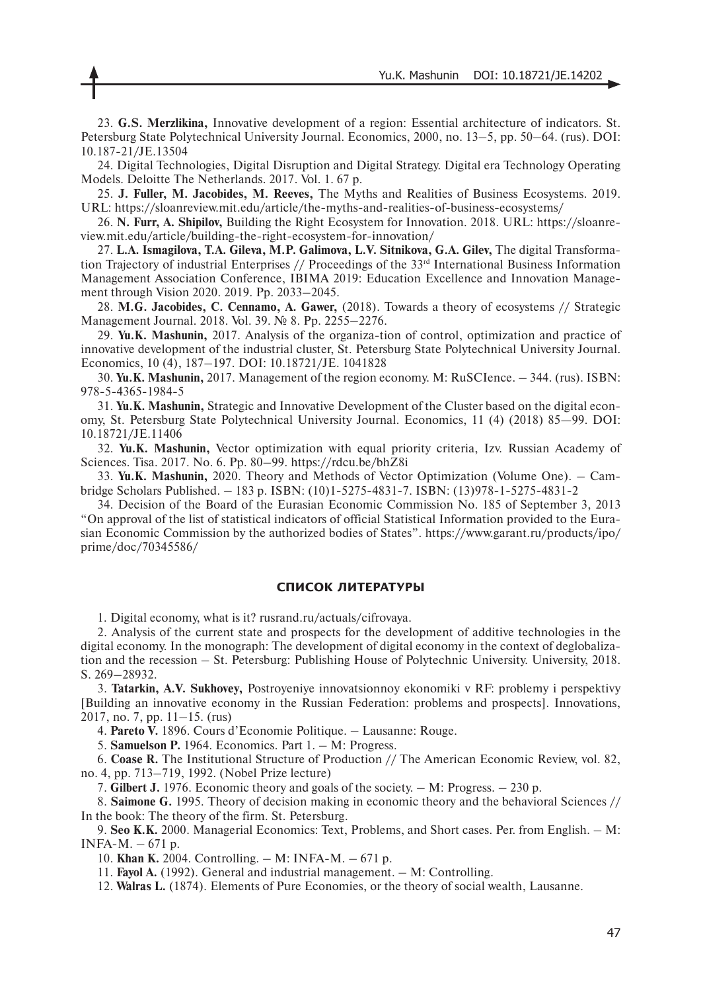23. **G.S. Merzlikina,** Innovative development of a region: Essential architecture of indicators. St. Petersburg State Polytechnical University Journal. Economics, 2000, no. 13–5, pp. 50–64. (rus). DOI: 10.187-21/JE.13504

24. Digital Technologies, Digital Disruption and Digital Strategy. Digital era Technology Operating Models. Deloitte The Netherlands. 2017. Vol. 1. 67 p.

25. **J. Fuller, M. Jacobides, M. Reeves,** The Myths and Realities of Business Ecosystems. 2019. URL: https://sloanreview.mit.edu/article/the-myths-and-realities-of-business-ecosystems/

26. **N. Furr, A. Shipilov,** Building the Right Ecosystem for Innovation. 2018. URL: https://sloanreview.mit.edu/article/building-the-right-ecosystem-for-innovation/

27. **L.A. Ismagilova, T.A. Gileva, M.P. Galimova, L.V. Sitnikova, G.A. Gilev,** The digital Transformation Trajectory of industrial Enterprises // Proceedings of the 33<sup>rd</sup> International Business Information Management Association Conference, IBIMA 2019: Education Excellence and Innovation Management through Vision 2020. 2019. Pp. 2033–2045.

28. **M.G. Jacobides, C. Cennamo, A. Gawer,** (2018). Towards a theory of ecosystems // Strategic Management Journal. 2018. Vol. 39. № 8. Pp. 2255–2276.

29. **Yu.K. Mashunin,** 2017. Analysis of the organiza-tion of control, optimization and practice of innovative development of the industrial cluster, St. Petersburg State Polytechnical University Journal. Economics, 10 (4), 187–197. DOI: 10.18721/JE. 1041828

30. **Yu.K. Mashunin,** 2017. Management of the region economy. M: RuSCIence. – 344. (rus). ISBN: 978-5-4365-1984-5

31. **Yu.K. Mashunin,** Strategic and Innovative Development of the Cluster based on the digital economy, St. Petersburg State Polytechnical University Journal. Economics, 11 (4) (2018) 85—99. DOI: 10.18721/JE.11406

32. **Yu.K. Mashunin,** Vector optimization with equal priority criteria, Izv. Russian Academy of Sciences. Tisa. 2017. No. 6. Pp. 80–99. https://rdcu.be/bhZ8i

33. **Yu.K. Mashunin,** 2020. Theory and Methods of Vector Optimization (Volume One). – Cambridge Scholars Published. – 183 p. ISBN: (10)1-5275-4831-7. ISBN: (13)978-1-5275-4831-2

34. Decision of the Board of the Eurasian Economic Commission No. 185 of September 3, 2013 "On approval of the list of statistical indicators of official Statistical Information provided to the Eurasian Economic Commission by the authorized bodies of States". https://www.garant.ru/products/ipo/ prime/doc/70345586/

### **СПИСОК ЛИТЕРАТУРЫ**

1. Digital economy, what is it? rusrand.ru/actuals/cifrovaya.

2. Analysis of the current state and prospects for the development of additive technologies in the digital economy. In the monograph: The development of digital economy in the context of deglobalization and the recession – St. Petersburg: Publishing House of Polytechnic University. University, 2018. S. 269–28932.

3. **Tatarkin, A.V. Sukhovey,** Postroyeniye innovatsionnoy ekonomiki v RF: problemy i perspektivy [Building an innovative economy in the Russian Federation: problems and prospects]. Innovations,  $2017$ , no. 7, pp.  $11-15$ . (rus)

4. **Pareto V.** 1896. Cours d'Economie Politique. – Lausanne: Rouge.

5. **Samuelson P.** 1964. Economics. Part 1. – M: Progress.

6. **Coase R.** The Institutional Structure of Production // The American Economic Review, vol. 82, no. 4, pp. 713–719, 1992. (Nobel Prize lecture)

7. **Gilbert J.** 1976. Economic theory and goals of the society. – M: Progress. – 230 p.

8. **Saimone G.** 1995. Theory of decision making in economic theory and the behavioral Sciences // In the book: The theory of the firm. St. Petersburg.

9. **Seo K.K.** 2000. Managerial Economics: Text, Problems, and Short cases. Per. from English. – M: INFA-M. – 671 p.

10. **Khan K.** 2004. Controlling. – M: INFA-M. – 671 p.

11. **Fayol A.** (1992). General and industrial management. – M: Controlling.

12. **Walras L.** (1874). Elements of Pure Economies, or the theory of social wealth, Lausanne.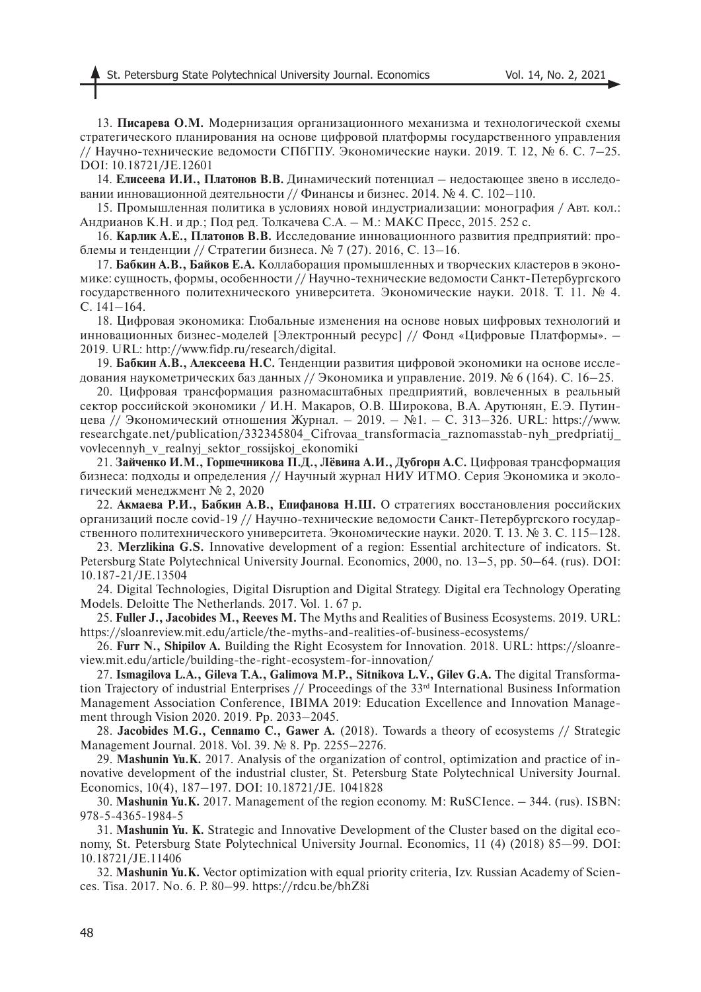13. **Писарева О.М.** Модернизация организационного механизма и технологической схемы стратегического планирования на основе цифровой платформы государственного управления // Научно-технические ведомости СПбГПУ. Экономические науки. 2019. Т. 12, № 6. С. 7-25. DOI: 10.18721/JE.12601

14. **Елисеева И.И., Платонов В.В.** Динамический потенциал – недостающее звено в исследовании инновационной деятельности // Финансы и бизнес. 2014. № 4. С. 102-110.

15. Промышленная политика в условиях новой индустриализации: монография / Авт. кол.: Андрианов К.Н. и др.; Под ред. Толкачева С.А. – М.: МАКС Пресс, 2015. 252 с.

16. **Карлик А.Е., Платонов В.В.** Исследование инновационного развития предприятий: проблемы и тенденции // Стратегии бизнеса. № 7 (27). 2016, С. 13–16.

17. **Бабкин А.В., Байков Е.А.** Коллаборация промышленных и творческих кластеров в экономике: сущность, формы, особенности // Научно-технические ведомости Санкт-Петербургского государственного политехнического университета. Экономические науки. 2018. Т. 11. № 4. С. 141–164.

18. Цифровая экономика: Глобальные изменения на основе новых цифровых технологий и инновационных бизнес-моделей [Электронный ресурс] // Фонд «Цифровые Платформы». – 2019. URL: http://www.fidp.ru/research/digital.

19. **Бабкин А.В., Алексеева Н.С.** Тенденции развития цифровой экономики на основе исследования наукометрических баз данных // Экономика и управление. 2019. № 6 (164). С. 16–25.

20. Цифровая трансформация разномасштабных предприятий, вовлеченных в реальный сектор российской экономики / И.Н. Макаров, О.В. Широкова, В.А. Арутюнян, Е.Э. Путинцева // Экономический отношения Журнал. – 2019. – №1. – С. 313–326. URL: https://www. researchgate.net/publication/332345804\_Cifrovaa\_transformacia\_raznomasstab-nyh\_predpriatij\_ vovlecennyh\_v\_realnyj\_sektor\_rossijskoj\_ekonomiki

21. **Зайченко И.М., Горшечникова П.Д., Лёвина А.И., Дубгорн А.С.** Цифровая трансформация бизнеса: подходы и определения // Научный журнал НИУ ИТМО. Серия Экономика и экологический менеджмент № 2, 2020

22. **Акмаева Р.И., Бабкин А.В., Епифанова Н.Ш.** О стратегиях восстановления российских организаций после covid-19 // Научно-технические ведомости Санкт-Петербургского государственного политехнического университета. Экономические науки. 2020. Т. 13. № 3. С. 115–128.

23. **Merzlikina G.S.** Innovative development of a region: Essential architecture of indicators. St. Petersburg State Polytechnical University Journal. Economics, 2000, no. 13–5, pp. 50–64. (rus). DOI: 10.187-21/JE.13504

24. Digital Technologies, Digital Disruption and Digital Strategy. Digital era Technology Operating Models. Deloitte The Netherlands. 2017. Vol. 1. 67 p.

25. **Fuller J., Jacobides M., Reeves M.** The Myths and Realities of Business Ecosystems. 2019. URL: https://sloanreview.mit.edu/article/the-myths-and-realities-of-business-ecosystems/

26. **Furr N., Shipilov A.** Building the Right Ecosystem for Innovation. 2018. URL: https://sloanreview.mit.edu/article/building-the-right-ecosystem-for-innovation/

27. **Ismagilova L.A., Gileva T.A., Galimova M.P., Sitnikova L.V., Gilev G.A.** The digital Transformation Trajectory of industrial Enterprises // Proceedings of the 33<sup>rd</sup> International Business Information Management Association Conference, IBIMA 2019: Education Excellence and Innovation Management through Vision 2020, 2019. Pp. 2033–2045.

28. **Jacobides M.G., Cennamo C., Gawer A.** (2018). Towards a theory of ecosystems // Strategic Management Journal. 2018. Vol. 39. № 8. Рp. 2255–2276.

29. **Mashunin Yu.K.** 2017. Analysis of the organization of control, optimization and practice of innovative development of the industrial cluster, St. Petersburg State Polytechnical University Journal. Economics, 10(4), 187–197. DOI: 10.18721/JE. 1041828

30. **Mashunin Yu.K.** 2017. Management of the region economy. M: RuSCIence. – 344. (rus). ISBN: 978-5-4365-1984-5

31. **Mashunin Yu. K.** Strategic and Innovative Development of the Cluster based on the digital economy, St. Petersburg State Polytechnical University Journal. Economics, 11 (4) (2018) 85—99. DOI: 10.18721/JE.11406

32. **Mashunin Yu.K.** Vector optimization with equal priority criteria, Izv. Russian Academy of Sciences. Tisa. 2017. No. 6. P. 80–99. https://rdcu.be/bhZ8i